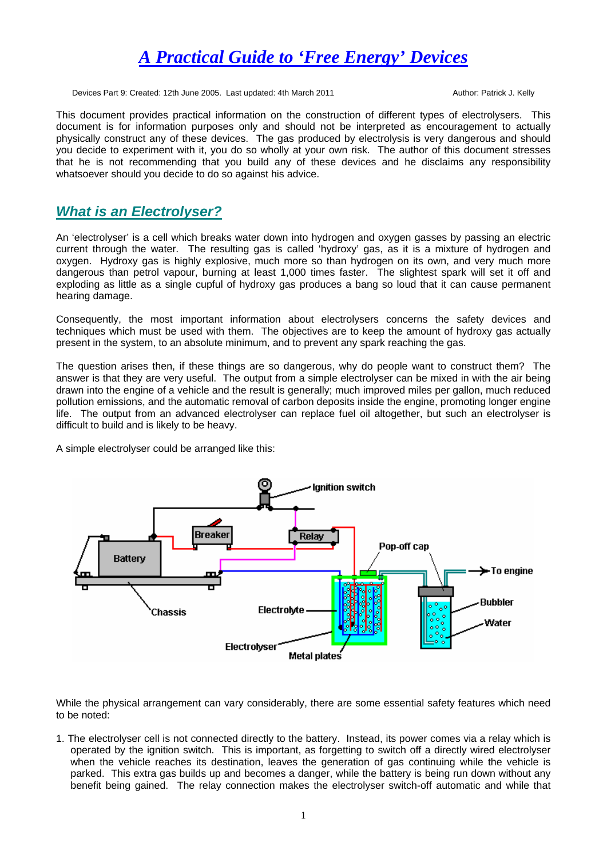# *A Practical Guide to 'Free Energy' Devices*

Devices Part 9: Created: 12th June 2005. Last updated: 4th March 2011 Author: Patrick J. Kelly

This document provides practical information on the construction of different types of electrolysers. This document is for information purposes only and should not be interpreted as encouragement to actually physically construct any of these devices. The gas produced by electrolysis is very dangerous and should you decide to experiment with it, you do so wholly at your own risk. The author of this document stresses that he is not recommending that you build any of these devices and he disclaims any responsibility whatsoever should you decide to do so against his advice.

# *What is an Electrolyser?*

An 'electrolyser' is a cell which breaks water down into hydrogen and oxygen gasses by passing an electric current through the water. The resulting gas is called 'hydroxy' gas, as it is a mixture of hydrogen and oxygen. Hydroxy gas is highly explosive, much more so than hydrogen on its own, and very much more dangerous than petrol vapour, burning at least 1,000 times faster. The slightest spark will set it off and exploding as little as a single cupful of hydroxy gas produces a bang so loud that it can cause permanent hearing damage.

Consequently, the most important information about electrolysers concerns the safety devices and techniques which must be used with them. The objectives are to keep the amount of hydroxy gas actually present in the system, to an absolute minimum, and to prevent any spark reaching the gas.

The question arises then, if these things are so dangerous, why do people want to construct them? The answer is that they are very useful. The output from a simple electrolyser can be mixed in with the air being drawn into the engine of a vehicle and the result is generally; much improved miles per gallon, much reduced pollution emissions, and the automatic removal of carbon deposits inside the engine, promoting longer engine life. The output from an advanced electrolyser can replace fuel oil altogether, but such an electrolyser is difficult to build and is likely to be heavy.

A simple electrolyser could be arranged like this:



While the physical arrangement can vary considerably, there are some essential safety features which need to be noted:

1. The electrolyser cell is not connected directly to the battery. Instead, its power comes via a relay which is operated by the ignition switch. This is important, as forgetting to switch off a directly wired electrolyser when the vehicle reaches its destination, leaves the generation of gas continuing while the vehicle is parked. This extra gas builds up and becomes a danger, while the battery is being run down without any benefit being gained. The relay connection makes the electrolyser switch-off automatic and while that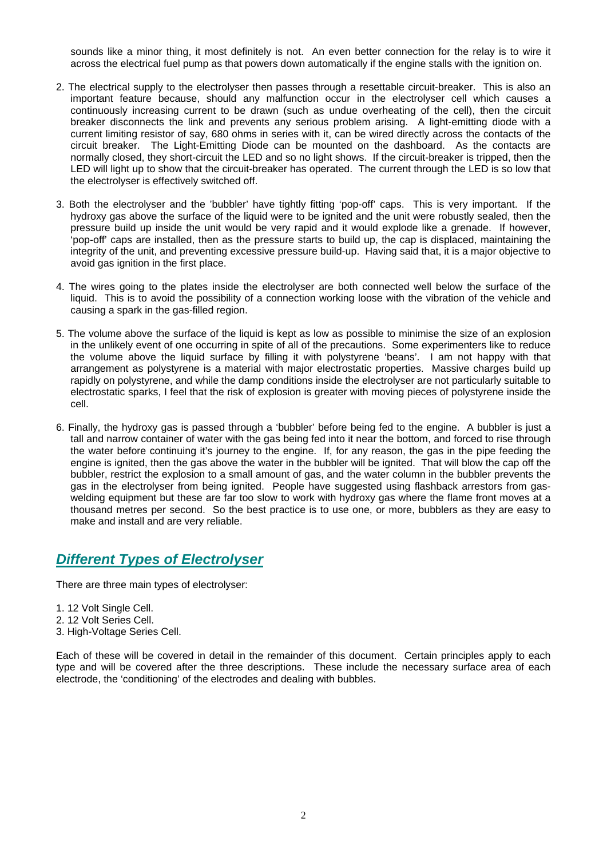sounds like a minor thing, it most definitely is not. An even better connection for the relay is to wire it across the electrical fuel pump as that powers down automatically if the engine stalls with the ignition on.

- 2. The electrical supply to the electrolyser then passes through a resettable circuit-breaker. This is also an important feature because, should any malfunction occur in the electrolyser cell which causes a continuously increasing current to be drawn (such as undue overheating of the cell), then the circuit breaker disconnects the link and prevents any serious problem arising. A light-emitting diode with a current limiting resistor of say, 680 ohms in series with it, can be wired directly across the contacts of the circuit breaker. The Light-Emitting Diode can be mounted on the dashboard. As the contacts are normally closed, they short-circuit the LED and so no light shows. If the circuit-breaker is tripped, then the LED will light up to show that the circuit-breaker has operated. The current through the LED is so low that the electrolyser is effectively switched off.
- 3. Both the electrolyser and the 'bubbler' have tightly fitting 'pop-off' caps. This is very important. If the hydroxy gas above the surface of the liquid were to be ignited and the unit were robustly sealed, then the pressure build up inside the unit would be very rapid and it would explode like a grenade. If however, 'pop-off' caps are installed, then as the pressure starts to build up, the cap is displaced, maintaining the integrity of the unit, and preventing excessive pressure build-up. Having said that, it is a major objective to avoid gas ignition in the first place.
- 4. The wires going to the plates inside the electrolyser are both connected well below the surface of the liquid. This is to avoid the possibility of a connection working loose with the vibration of the vehicle and causing a spark in the gas-filled region.
- 5. The volume above the surface of the liquid is kept as low as possible to minimise the size of an explosion in the unlikely event of one occurring in spite of all of the precautions. Some experimenters like to reduce the volume above the liquid surface by filling it with polystyrene 'beans'. I am not happy with that arrangement as polystyrene is a material with major electrostatic properties. Massive charges build up rapidly on polystyrene, and while the damp conditions inside the electrolyser are not particularly suitable to electrostatic sparks, I feel that the risk of explosion is greater with moving pieces of polystyrene inside the cell.
- 6. Finally, the hydroxy gas is passed through a 'bubbler' before being fed to the engine. A bubbler is just a tall and narrow container of water with the gas being fed into it near the bottom, and forced to rise through the water before continuing it's journey to the engine. If, for any reason, the gas in the pipe feeding the engine is ignited, then the gas above the water in the bubbler will be ignited. That will blow the cap off the bubbler, restrict the explosion to a small amount of gas, and the water column in the bubbler prevents the gas in the electrolyser from being ignited. People have suggested using flashback arrestors from gaswelding equipment but these are far too slow to work with hydroxy gas where the flame front moves at a thousand metres per second. So the best practice is to use one, or more, bubblers as they are easy to make and install and are very reliable.

# *Different Types of Electrolyser*

There are three main types of electrolyser:

- 1. 12 Volt Single Cell.
- 2. 12 Volt Series Cell.
- 3. High-Voltage Series Cell.

Each of these will be covered in detail in the remainder of this document. Certain principles apply to each type and will be covered after the three descriptions. These include the necessary surface area of each electrode, the 'conditioning' of the electrodes and dealing with bubbles.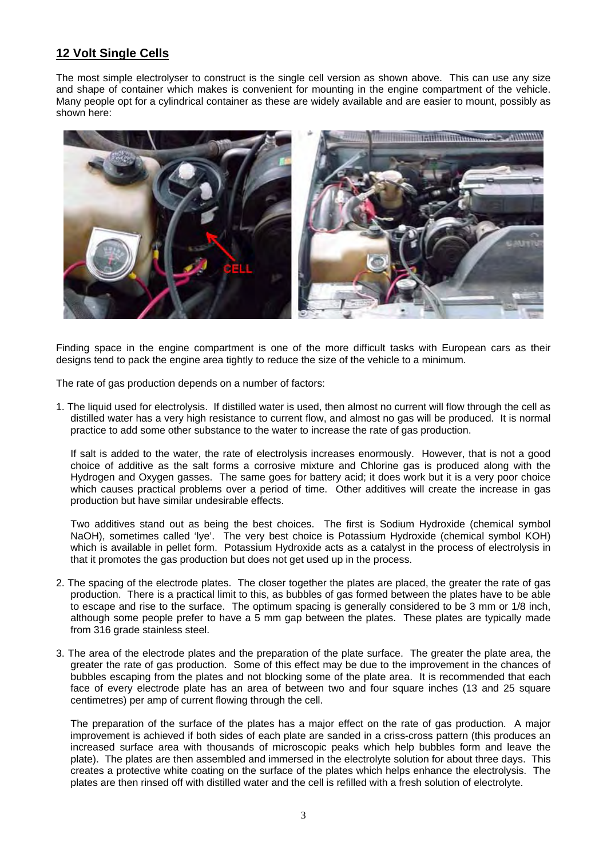# **12 Volt Single Cells**

The most simple electrolyser to construct is the single cell version as shown above. This can use any size and shape of container which makes is convenient for mounting in the engine compartment of the vehicle. Many people opt for a cylindrical container as these are widely available and are easier to mount, possibly as shown here:



Finding space in the engine compartment is one of the more difficult tasks with European cars as their designs tend to pack the engine area tightly to reduce the size of the vehicle to a minimum.

The rate of gas production depends on a number of factors:

1. The liquid used for electrolysis. If distilled water is used, then almost no current will flow through the cell as distilled water has a very high resistance to current flow, and almost no gas will be produced. It is normal practice to add some other substance to the water to increase the rate of gas production.

If salt is added to the water, the rate of electrolysis increases enormously. However, that is not a good choice of additive as the salt forms a corrosive mixture and Chlorine gas is produced along with the Hydrogen and Oxygen gasses. The same goes for battery acid; it does work but it is a very poor choice which causes practical problems over a period of time. Other additives will create the increase in gas production but have similar undesirable effects.

Two additives stand out as being the best choices. The first is Sodium Hydroxide (chemical symbol NaOH), sometimes called 'lye'. The very best choice is Potassium Hydroxide (chemical symbol KOH) which is available in pellet form. Potassium Hydroxide acts as a catalyst in the process of electrolysis in that it promotes the gas production but does not get used up in the process.

- 2. The spacing of the electrode plates. The closer together the plates are placed, the greater the rate of gas production. There is a practical limit to this, as bubbles of gas formed between the plates have to be able to escape and rise to the surface. The optimum spacing is generally considered to be 3 mm or 1/8 inch, although some people prefer to have a 5 mm gap between the plates. These plates are typically made from 316 grade stainless steel.
- 3. The area of the electrode plates and the preparation of the plate surface. The greater the plate area, the greater the rate of gas production. Some of this effect may be due to the improvement in the chances of bubbles escaping from the plates and not blocking some of the plate area. It is recommended that each face of every electrode plate has an area of between two and four square inches (13 and 25 square centimetres) per amp of current flowing through the cell.

The preparation of the surface of the plates has a major effect on the rate of gas production. A major improvement is achieved if both sides of each plate are sanded in a criss-cross pattern (this produces an increased surface area with thousands of microscopic peaks which help bubbles form and leave the plate). The plates are then assembled and immersed in the electrolyte solution for about three days. This creates a protective white coating on the surface of the plates which helps enhance the electrolysis. The plates are then rinsed off with distilled water and the cell is refilled with a fresh solution of electrolyte.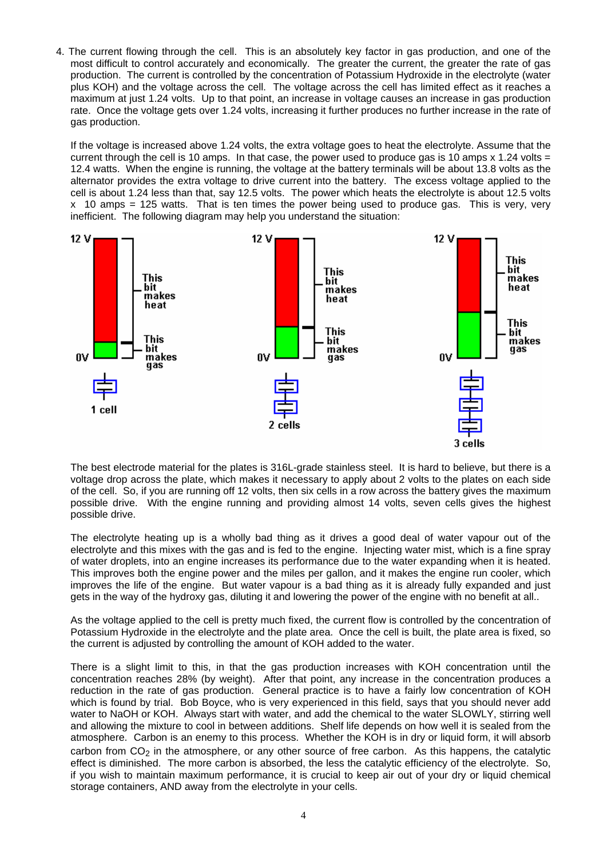4. The current flowing through the cell. This is an absolutely key factor in gas production, and one of the most difficult to control accurately and economically. The greater the current, the greater the rate of gas production. The current is controlled by the concentration of Potassium Hydroxide in the electrolyte (water plus KOH) and the voltage across the cell. The voltage across the cell has limited effect as it reaches a maximum at just 1.24 volts. Up to that point, an increase in voltage causes an increase in gas production rate. Once the voltage gets over 1.24 volts, increasing it further produces no further increase in the rate of gas production.

If the voltage is increased above 1.24 volts, the extra voltage goes to heat the electrolyte. Assume that the current through the cell is 10 amps. In that case, the power used to produce gas is 10 amps  $x$  1.24 volts = 12.4 watts. When the engine is running, the voltage at the battery terminals will be about 13.8 volts as the alternator provides the extra voltage to drive current into the battery. The excess voltage applied to the cell is about 1.24 less than that, say 12.5 volts. The power which heats the electrolyte is about 12.5 volts x 10 amps = 125 watts. That is ten times the power being used to produce gas. This is very, very inefficient. The following diagram may help you understand the situation:



The best electrode material for the plates is 316L-grade stainless steel. It is hard to believe, but there is a voltage drop across the plate, which makes it necessary to apply about 2 volts to the plates on each side of the cell. So, if you are running off 12 volts, then six cells in a row across the battery gives the maximum possible drive. With the engine running and providing almost 14 volts, seven cells gives the highest possible drive.

The electrolyte heating up is a wholly bad thing as it drives a good deal of water vapour out of the electrolyte and this mixes with the gas and is fed to the engine. Injecting water mist, which is a fine spray of water droplets, into an engine increases its performance due to the water expanding when it is heated. This improves both the engine power and the miles per gallon, and it makes the engine run cooler, which improves the life of the engine. But water vapour is a bad thing as it is already fully expanded and just gets in the way of the hydroxy gas, diluting it and lowering the power of the engine with no benefit at all..

As the voltage applied to the cell is pretty much fixed, the current flow is controlled by the concentration of Potassium Hydroxide in the electrolyte and the plate area. Once the cell is built, the plate area is fixed, so the current is adjusted by controlling the amount of KOH added to the water.

There is a slight limit to this, in that the gas production increases with KOH concentration until the concentration reaches 28% (by weight). After that point, any increase in the concentration produces a reduction in the rate of gas production. General practice is to have a fairly low concentration of KOH which is found by trial. Bob Boyce, who is very experienced in this field, says that you should never add water to NaOH or KOH. Always start with water, and add the chemical to the water SLOWLY, stirring well and allowing the mixture to cool in between additions. Shelf life depends on how well it is sealed from the atmosphere. Carbon is an enemy to this process. Whether the KOH is in dry or liquid form, it will absorb carbon from  $CO<sub>2</sub>$  in the atmosphere, or any other source of free carbon. As this happens, the catalytic effect is diminished. The more carbon is absorbed, the less the catalytic efficiency of the electrolyte. So, if you wish to maintain maximum performance, it is crucial to keep air out of your dry or liquid chemical storage containers, AND away from the electrolyte in your cells.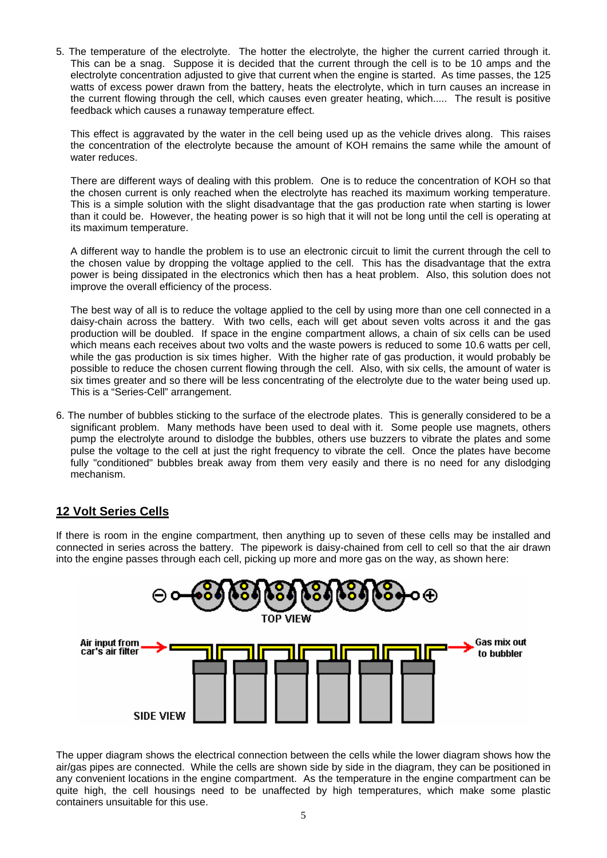5. The temperature of the electrolyte. The hotter the electrolyte, the higher the current carried through it. This can be a snag. Suppose it is decided that the current through the cell is to be 10 amps and the electrolyte concentration adjusted to give that current when the engine is started. As time passes, the 125 watts of excess power drawn from the battery, heats the electrolyte, which in turn causes an increase in the current flowing through the cell, which causes even greater heating, which..... The result is positive feedback which causes a runaway temperature effect.

This effect is aggravated by the water in the cell being used up as the vehicle drives along. This raises the concentration of the electrolyte because the amount of KOH remains the same while the amount of water reduces.

There are different ways of dealing with this problem. One is to reduce the concentration of KOH so that the chosen current is only reached when the electrolyte has reached its maximum working temperature. This is a simple solution with the slight disadvantage that the gas production rate when starting is lower than it could be. However, the heating power is so high that it will not be long until the cell is operating at its maximum temperature.

A different way to handle the problem is to use an electronic circuit to limit the current through the cell to the chosen value by dropping the voltage applied to the cell. This has the disadvantage that the extra power is being dissipated in the electronics which then has a heat problem. Also, this solution does not improve the overall efficiency of the process.

The best way of all is to reduce the voltage applied to the cell by using more than one cell connected in a daisy-chain across the battery. With two cells, each will get about seven volts across it and the gas production will be doubled. If space in the engine compartment allows, a chain of six cells can be used which means each receives about two volts and the waste powers is reduced to some 10.6 watts per cell, while the gas production is six times higher. With the higher rate of gas production, it would probably be possible to reduce the chosen current flowing through the cell. Also, with six cells, the amount of water is six times greater and so there will be less concentrating of the electrolyte due to the water being used up. This is a "Series-Cell" arrangement.

6. The number of bubbles sticking to the surface of the electrode plates. This is generally considered to be a significant problem. Many methods have been used to deal with it. Some people use magnets, others pump the electrolyte around to dislodge the bubbles, others use buzzers to vibrate the plates and some pulse the voltage to the cell at just the right frequency to vibrate the cell. Once the plates have become fully "conditioned" bubbles break away from them very easily and there is no need for any dislodging mechanism.

# **12 Volt Series Cells**

If there is room in the engine compartment, then anything up to seven of these cells may be installed and connected in series across the battery. The pipework is daisy-chained from cell to cell so that the air drawn into the engine passes through each cell, picking up more and more gas on the way, as shown here:



The upper diagram shows the electrical connection between the cells while the lower diagram shows how the air/gas pipes are connected. While the cells are shown side by side in the diagram, they can be positioned in any convenient locations in the engine compartment. As the temperature in the engine compartment can be quite high, the cell housings need to be unaffected by high temperatures, which make some plastic containers unsuitable for this use.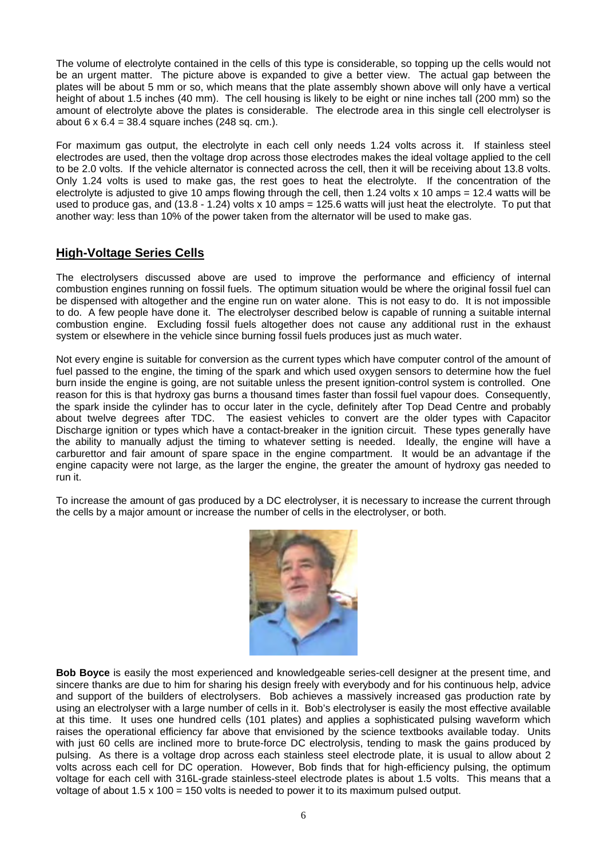The volume of electrolyte contained in the cells of this type is considerable, so topping up the cells would not be an urgent matter. The picture above is expanded to give a better view. The actual gap between the plates will be about 5 mm or so, which means that the plate assembly shown above will only have a vertical height of about 1.5 inches (40 mm). The cell housing is likely to be eight or nine inches tall (200 mm) so the amount of electrolyte above the plates is considerable. The electrode area in this single cell electrolyser is about 6 x  $6.4 = 38.4$  square inches (248 sq. cm.).

For maximum gas output, the electrolyte in each cell only needs 1.24 volts across it. If stainless steel electrodes are used, then the voltage drop across those electrodes makes the ideal voltage applied to the cell to be 2.0 volts. If the vehicle alternator is connected across the cell, then it will be receiving about 13.8 volts. Only 1.24 volts is used to make gas, the rest goes to heat the electrolyte. If the concentration of the electrolyte is adjusted to give 10 amps flowing through the cell, then 1.24 volts x 10 amps = 12.4 watts will be used to produce gas, and (13.8 - 1.24) volts x 10 amps = 125.6 watts will just heat the electrolyte. To put that another way: less than 10% of the power taken from the alternator will be used to make gas.

# **High-Voltage Series Cells**

The electrolysers discussed above are used to improve the performance and efficiency of internal combustion engines running on fossil fuels. The optimum situation would be where the original fossil fuel can be dispensed with altogether and the engine run on water alone. This is not easy to do. It is not impossible to do. A few people have done it. The electrolyser described below is capable of running a suitable internal combustion engine. Excluding fossil fuels altogether does not cause any additional rust in the exhaust system or elsewhere in the vehicle since burning fossil fuels produces just as much water.

Not every engine is suitable for conversion as the current types which have computer control of the amount of fuel passed to the engine, the timing of the spark and which used oxygen sensors to determine how the fuel burn inside the engine is going, are not suitable unless the present ignition-control system is controlled. One reason for this is that hydroxy gas burns a thousand times faster than fossil fuel vapour does. Consequently, the spark inside the cylinder has to occur later in the cycle, definitely after Top Dead Centre and probably about twelve degrees after TDC. The easiest vehicles to convert are the older types with Capacitor Discharge ignition or types which have a contact-breaker in the ignition circuit. These types generally have the ability to manually adjust the timing to whatever setting is needed. Ideally, the engine will have a carburettor and fair amount of spare space in the engine compartment. It would be an advantage if the engine capacity were not large, as the larger the engine, the greater the amount of hydroxy gas needed to run it.

To increase the amount of gas produced by a DC electrolyser, it is necessary to increase the current through the cells by a major amount or increase the number of cells in the electrolyser, or both.



**Bob Boyce** is easily the most experienced and knowledgeable series-cell designer at the present time, and sincere thanks are due to him for sharing his design freely with everybody and for his continuous help, advice and support of the builders of electrolysers. Bob achieves a massively increased gas production rate by using an electrolyser with a large number of cells in it. Bob's electrolyser is easily the most effective available at this time. It uses one hundred cells (101 plates) and applies a sophisticated pulsing waveform which raises the operational efficiency far above that envisioned by the science textbooks available today. Units with just 60 cells are inclined more to brute-force DC electrolysis, tending to mask the gains produced by pulsing. As there is a voltage drop across each stainless steel electrode plate, it is usual to allow about 2 volts across each cell for DC operation. However, Bob finds that for high-efficiency pulsing, the optimum voltage for each cell with 316L-grade stainless-steel electrode plates is about 1.5 volts. This means that a voltage of about 1.5 x 100 = 150 volts is needed to power it to its maximum pulsed output.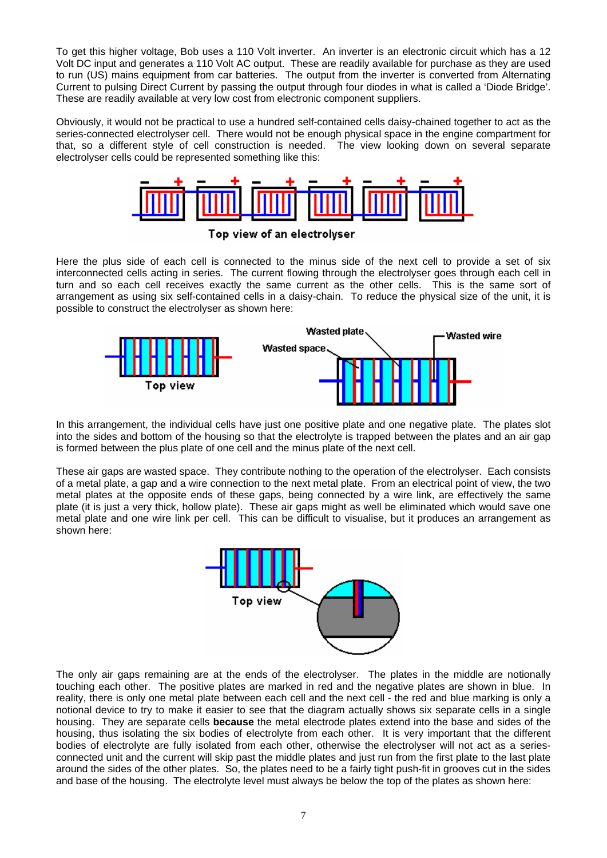To get this higher voltage, Bob uses a 110 Volt inverter. An inverter is an electronic circuit which has a 12 Volt DC input and generates a 110 Volt AC output. These are readily available for purchase as they are used to run (US) mains equipment from car batteries. The output from the inverter is converted from Alternating Current to pulsing Direct Current by passing the output through four diodes in what is called a 'Diode Bridge'. These are readily available at very low cost from electronic component suppliers.

Obviously, it would not be practical to use a hundred self-contained cells daisy-chained together to act as the series-connected electrolyser cell. There would not be enough physical space in the engine compartment for that, so a different style of cell construction is needed. The view looking down on several separate electrolyser cells could be represented something like this:



Top view of an electrolyser

Here the plus side of each cell is connected to the minus side of the next cell to provide a set of six interconnected cells acting in series. The current flowing through the electrolyser goes through each cell in turn and so each cell receives exactly the same current as the other cells. This is the same sort of arrangement as using six self-contained cells in a daisy-chain. To reduce the physical size of the unit, it is possible to construct the electrolyser as shown here:



In this arrangement, the individual cells have just one positive plate and one negative plate. The plates slot into the sides and bottom of the housing so that the electrolyte is trapped between the plates and an air gap is formed between the plus plate of one cell and the minus plate of the next cell.

These air gaps are wasted space. They contribute nothing to the operation of the electrolyser. Each consists of a metal plate, a gap and a wire connection to the next metal plate. From an electrical point of view, the two metal plates at the opposite ends of these gaps, being connected by a wire link, are effectively the same plate (it is just a very thick, hollow plate). These air gaps might as well be eliminated which would save one metal plate and one wire link per cell. This can be difficult to visualise, but it produces an arrangement as shown here:



The only air gaps remaining are at the ends of the electrolyser. The plates in the middle are notionally touching each other. The positive plates are marked in red and the negative plates are shown in blue. In reality, there is only one metal plate between each cell and the next cell - the red and blue marking is only a notional device to try to make it easier to see that the diagram actually shows six separate cells in a single housing. They are separate cells **because** the metal electrode plates extend into the base and sides of the housing, thus isolating the six bodies of electrolyte from each other. It is very important that the different bodies of electrolyte are fully isolated from each other, otherwise the electrolyser will not act as a seriesconnected unit and the current will skip past the middle plates and just run from the first plate to the last plate around the sides of the other plates. So, the plates need to be a fairly tight push-fit in grooves cut in the sides and base of the housing. The electrolyte level must always be below the top of the plates as shown here: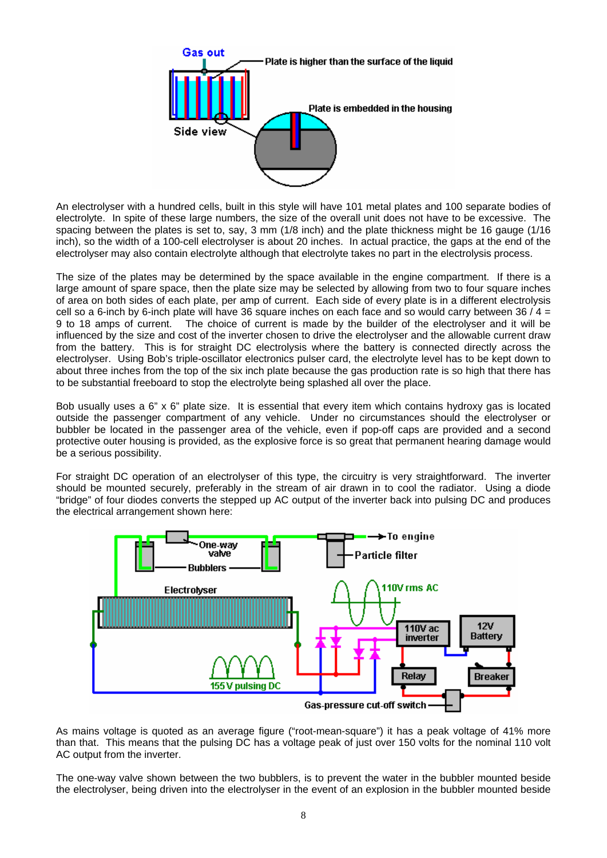

An electrolyser with a hundred cells, built in this style will have 101 metal plates and 100 separate bodies of electrolyte. In spite of these large numbers, the size of the overall unit does not have to be excessive. The spacing between the plates is set to, say, 3 mm (1/8 inch) and the plate thickness might be 16 gauge (1/16 inch), so the width of a 100-cell electrolyser is about 20 inches. In actual practice, the gaps at the end of the electrolyser may also contain electrolyte although that electrolyte takes no part in the electrolysis process.

The size of the plates may be determined by the space available in the engine compartment. If there is a large amount of spare space, then the plate size may be selected by allowing from two to four square inches of area on both sides of each plate, per amp of current. Each side of every plate is in a different electrolysis cell so a 6-inch by 6-inch plate will have 36 square inches on each face and so would carry between 36 / 4 = 9 to 18 amps of current. The choice of current is made by the builder of the electrolyser and it will be influenced by the size and cost of the inverter chosen to drive the electrolyser and the allowable current draw from the battery. This is for straight DC electrolysis where the battery is connected directly across the electrolyser. Using Bob's triple-oscillator electronics pulser card, the electrolyte level has to be kept down to about three inches from the top of the six inch plate because the gas production rate is so high that there has to be substantial freeboard to stop the electrolyte being splashed all over the place.

Bob usually uses a 6" x 6" plate size. It is essential that every item which contains hydroxy gas is located outside the passenger compartment of any vehicle. Under no circumstances should the electrolyser or bubbler be located in the passenger area of the vehicle, even if pop-off caps are provided and a second protective outer housing is provided, as the explosive force is so great that permanent hearing damage would be a serious possibility.

For straight DC operation of an electrolyser of this type, the circuitry is very straightforward. The inverter should be mounted securely, preferably in the stream of air drawn in to cool the radiator. Using a diode "bridge" of four diodes converts the stepped up AC output of the inverter back into pulsing DC and produces the electrical arrangement shown here:



As mains voltage is quoted as an average figure ("root-mean-square") it has a peak voltage of 41% more than that. This means that the pulsing DC has a voltage peak of just over 150 volts for the nominal 110 volt AC output from the inverter.

The one-way valve shown between the two bubblers, is to prevent the water in the bubbler mounted beside the electrolyser, being driven into the electrolyser in the event of an explosion in the bubbler mounted beside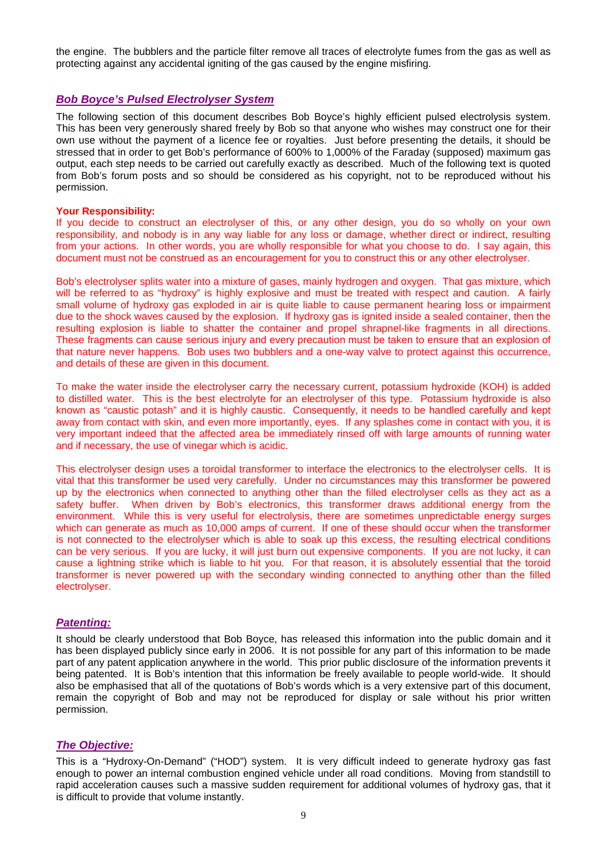the engine. The bubblers and the particle filter remove all traces of electrolyte fumes from the gas as well as protecting against any accidental igniting of the gas caused by the engine misfiring.

#### *Bob Boyce's Pulsed Electrolyser System*

The following section of this document describes Bob Boyce's highly efficient pulsed electrolysis system. This has been very generously shared freely by Bob so that anyone who wishes may construct one for their own use without the payment of a licence fee or royalties. Just before presenting the details, it should be stressed that in order to get Bob's performance of 600% to 1,000% of the Faraday (supposed) maximum gas output, each step needs to be carried out carefully exactly as described. Much of the following text is quoted from Bob's forum posts and so should be considered as his copyright, not to be reproduced without his permission.

#### **Your Responsibility:**

If you decide to construct an electrolyser of this, or any other design, you do so wholly on your own responsibility, and nobody is in any way liable for any loss or damage, whether direct or indirect, resulting from your actions. In other words, you are wholly responsible for what you choose to do. I say again, this document must not be construed as an encouragement for you to construct this or any other electrolyser.

Bob's electrolyser splits water into a mixture of gases, mainly hydrogen and oxygen. That gas mixture, which will be referred to as "hydroxy" is highly explosive and must be treated with respect and caution. A fairly small volume of hydroxy gas exploded in air is quite liable to cause permanent hearing loss or impairment due to the shock waves caused by the explosion. If hydroxy gas is ignited inside a sealed container, then the resulting explosion is liable to shatter the container and propel shrapnel-like fragments in all directions. These fragments can cause serious injury and every precaution must be taken to ensure that an explosion of that nature never happens. Bob uses two bubblers and a one-way valve to protect against this occurrence, and details of these are given in this document.

To make the water inside the electrolyser carry the necessary current, potassium hydroxide (KOH) is added to distilled water. This is the best electrolyte for an electrolyser of this type. Potassium hydroxide is also known as "caustic potash" and it is highly caustic. Consequently, it needs to be handled carefully and kept away from contact with skin, and even more importantly, eyes. If any splashes come in contact with you, it is very important indeed that the affected area be immediately rinsed off with large amounts of running water and if necessary, the use of vinegar which is acidic.

This electrolyser design uses a toroidal transformer to interface the electronics to the electrolyser cells. It is vital that this transformer be used very carefully. Under no circumstances may this transformer be powered up by the electronics when connected to anything other than the filled electrolyser cells as they act as a safety buffer. When driven by Bob's electronics, this transformer draws additional energy from the environment. While this is very useful for electrolysis, there are sometimes unpredictable energy surges which can generate as much as 10,000 amps of current. If one of these should occur when the transformer is not connected to the electrolyser which is able to soak up this excess, the resulting electrical conditions can be very serious. If you are lucky, it will just burn out expensive components. If you are not lucky, it can cause a lightning strike which is liable to hit you. For that reason, it is absolutely essential that the toroid transformer is never powered up with the secondary winding connected to anything other than the filled electrolyser.

#### *Patenting:*

It should be clearly understood that Bob Boyce, has released this information into the public domain and it has been displayed publicly since early in 2006. It is not possible for any part of this information to be made part of any patent application anywhere in the world. This prior public disclosure of the information prevents it being patented. It is Bob's intention that this information be freely available to people world-wide. It should also be emphasised that all of the quotations of Bob's words which is a very extensive part of this document, remain the copyright of Bob and may not be reproduced for display or sale without his prior written permission.

#### *The Objective:*

This is a "Hydroxy-On-Demand" ("HOD") system. It is very difficult indeed to generate hydroxy gas fast enough to power an internal combustion engined vehicle under all road conditions. Moving from standstill to rapid acceleration causes such a massive sudden requirement for additional volumes of hydroxy gas, that it is difficult to provide that volume instantly.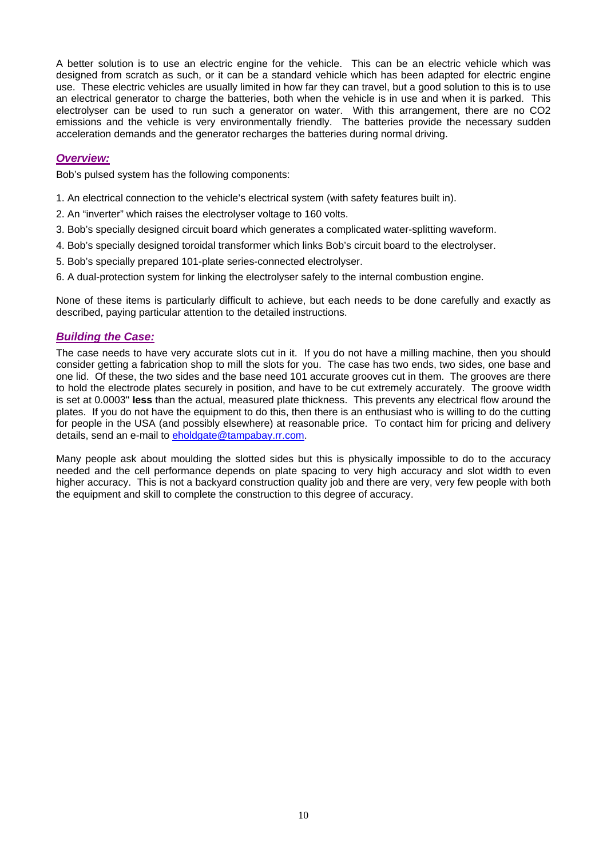A better solution is to use an electric engine for the vehicle. This can be an electric vehicle which was designed from scratch as such, or it can be a standard vehicle which has been adapted for electric engine use. These electric vehicles are usually limited in how far they can travel, but a good solution to this is to use an electrical generator to charge the batteries, both when the vehicle is in use and when it is parked. This electrolyser can be used to run such a generator on water. With this arrangement, there are no CO2 emissions and the vehicle is very environmentally friendly. The batteries provide the necessary sudden acceleration demands and the generator recharges the batteries during normal driving.

# *Overview:*

Bob's pulsed system has the following components:

- 1. An electrical connection to the vehicle's electrical system (with safety features built in).
- 2. An "inverter" which raises the electrolyser voltage to 160 volts.
- 3. Bob's specially designed circuit board which generates a complicated water-splitting waveform.
- 4. Bob's specially designed toroidal transformer which links Bob's circuit board to the electrolyser.
- 5. Bob's specially prepared 101-plate series-connected electrolyser.
- 6. A dual-protection system for linking the electrolyser safely to the internal combustion engine.

None of these items is particularly difficult to achieve, but each needs to be done carefully and exactly as described, paying particular attention to the detailed instructions.

# *Building the Case:*

The case needs to have very accurate slots cut in it. If you do not have a milling machine, then you should consider getting a fabrication shop to mill the slots for you. The case has two ends, two sides, one base and one lid. Of these, the two sides and the base need 101 accurate grooves cut in them. The grooves are there to hold the electrode plates securely in position, and have to be cut extremely accurately. The groove width is set at 0.0003" **less** than the actual, measured plate thickness. This prevents any electrical flow around the plates. If you do not have the equipment to do this, then there is an enthusiast who is willing to do the cutting for people in the USA (and possibly elsewhere) at reasonable price. To contact him for pricing and delivery details, send an e-mail to [eholdgate@tampabay.rr.com.](mailto:eholdgate@tampabay.rr.com)

Many people ask about moulding the slotted sides but this is physically impossible to do to the accuracy needed and the cell performance depends on plate spacing to very high accuracy and slot width to even higher accuracy. This is not a backyard construction quality job and there are very, very few people with both the equipment and skill to complete the construction to this degree of accuracy.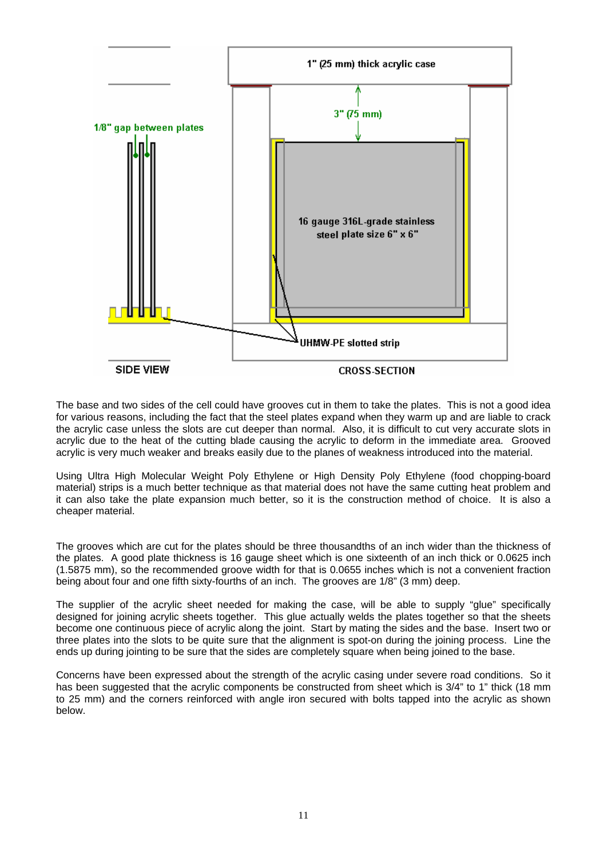

The base and two sides of the cell could have grooves cut in them to take the plates. This is not a good idea for various reasons, including the fact that the steel plates expand when they warm up and are liable to crack the acrylic case unless the slots are cut deeper than normal. Also, it is difficult to cut very accurate slots in acrylic due to the heat of the cutting blade causing the acrylic to deform in the immediate area. Grooved acrylic is very much weaker and breaks easily due to the planes of weakness introduced into the material.

Using Ultra High Molecular Weight Poly Ethylene or High Density Poly Ethylene (food chopping-board material) strips is a much better technique as that material does not have the same cutting heat problem and it can also take the plate expansion much better, so it is the construction method of choice. It is also a cheaper material.

The grooves which are cut for the plates should be three thousandths of an inch wider than the thickness of the plates. A good plate thickness is 16 gauge sheet which is one sixteenth of an inch thick or 0.0625 inch (1.5875 mm), so the recommended groove width for that is 0.0655 inches which is not a convenient fraction being about four and one fifth sixty-fourths of an inch. The grooves are 1/8" (3 mm) deep.

The supplier of the acrylic sheet needed for making the case, will be able to supply "glue" specifically designed for joining acrylic sheets together. This glue actually welds the plates together so that the sheets become one continuous piece of acrylic along the joint. Start by mating the sides and the base. Insert two or three plates into the slots to be quite sure that the alignment is spot-on during the joining process. Line the ends up during jointing to be sure that the sides are completely square when being joined to the base.

Concerns have been expressed about the strength of the acrylic casing under severe road conditions. So it has been suggested that the acrylic components be constructed from sheet which is 3/4" to 1" thick (18 mm to 25 mm) and the corners reinforced with angle iron secured with bolts tapped into the acrylic as shown below.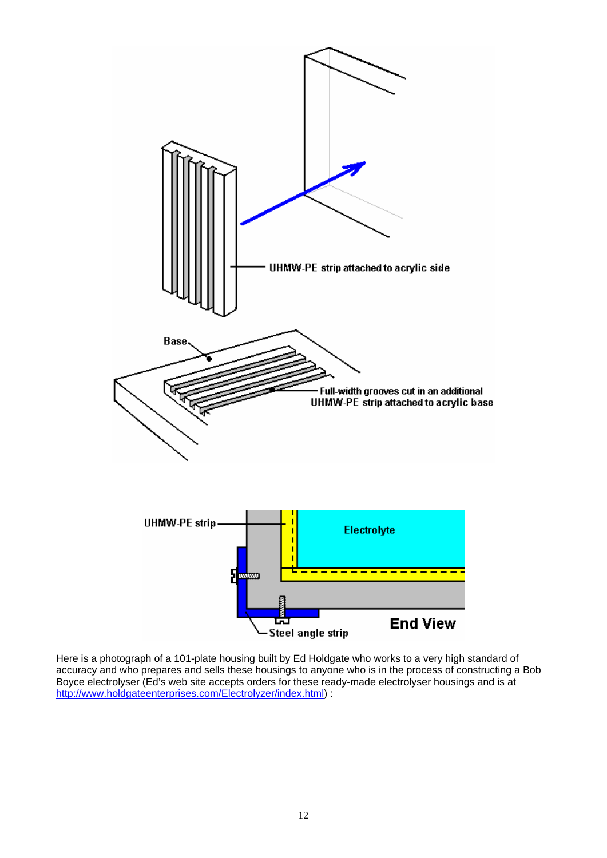

Here is a photograph of a 101-plate housing built by Ed Holdgate who works to a very high standard of accuracy and who prepares and sells these housings to anyone who is in the process of constructing a Bob Boyce electrolyser (Ed's web site accepts orders for these ready-made electrolyser housings and is at [http://www.holdgateenterprises.com/Electrolyzer/index.html\)](http://www.holdgateenterprises.com/Electrolyzer/index.html) :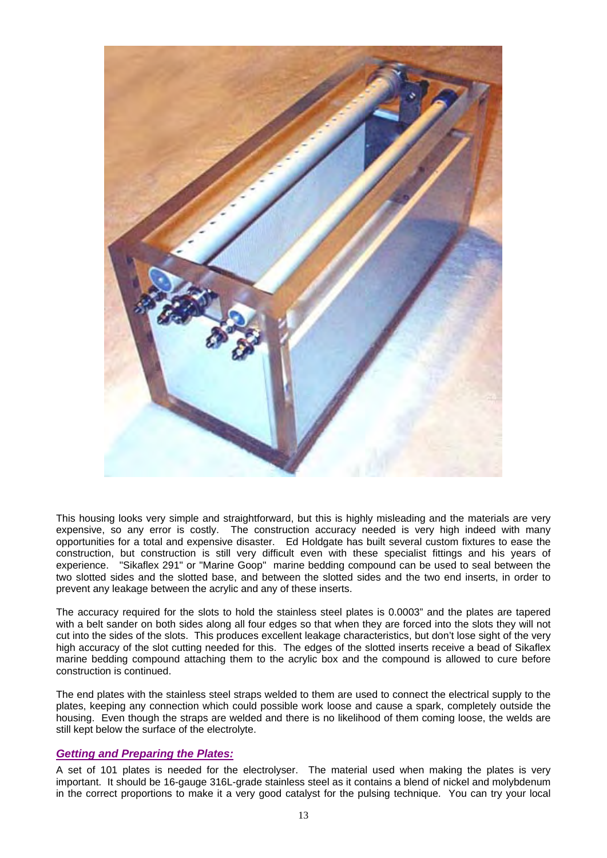

This housing looks very simple and straightforward, but this is highly misleading and the materials are very expensive, so any error is costly. The construction accuracy needed is very high indeed with many opportunities for a total and expensive disaster. Ed Holdgate has built several custom fixtures to ease the construction, but construction is still very difficult even with these specialist fittings and his years of experience. "Sikaflex 291" or "Marine Goop" marine bedding compound can be used to seal between the two slotted sides and the slotted base, and between the slotted sides and the two end inserts, in order to prevent any leakage between the acrylic and any of these inserts.

The accuracy required for the slots to hold the stainless steel plates is 0.0003" and the plates are tapered with a belt sander on both sides along all four edges so that when they are forced into the slots they will not cut into the sides of the slots. This produces excellent leakage characteristics, but don't lose sight of the very high accuracy of the slot cutting needed for this. The edges of the slotted inserts receive a bead of Sikaflex marine bedding compound attaching them to the acrylic box and the compound is allowed to cure before construction is continued.

The end plates with the stainless steel straps welded to them are used to connect the electrical supply to the plates, keeping any connection which could possible work loose and cause a spark, completely outside the housing. Even though the straps are welded and there is no likelihood of them coming loose, the welds are still kept below the surface of the electrolyte.

# *Getting and Preparing the Plates:*

A set of 101 plates is needed for the electrolyser. The material used when making the plates is very important. It should be 16-gauge 316L-grade stainless steel as it contains a blend of nickel and molybdenum in the correct proportions to make it a very good catalyst for the pulsing technique. You can try your local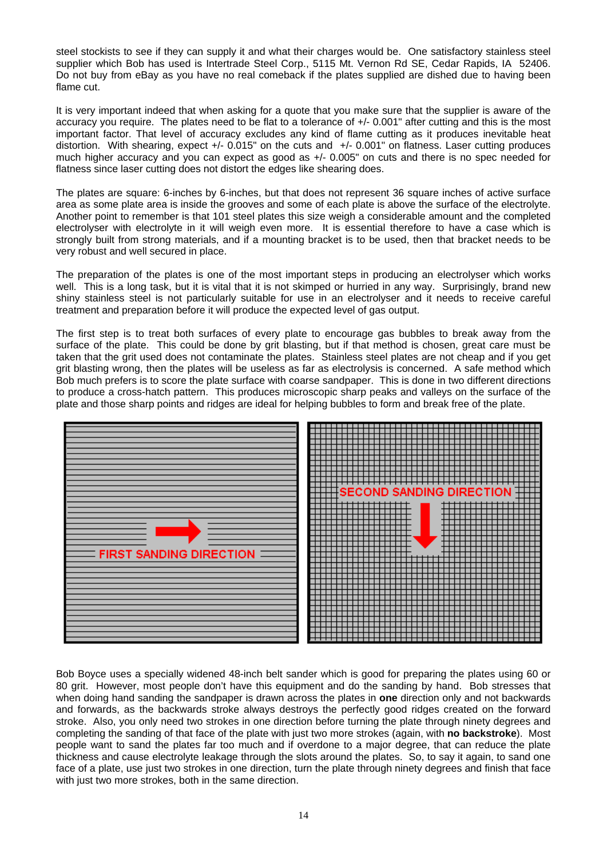steel stockists to see if they can supply it and what their charges would be. One satisfactory stainless steel supplier which Bob has used is Intertrade Steel Corp., 5115 Mt. Vernon Rd SE, Cedar Rapids, IA 52406. Do not buy from eBay as you have no real comeback if the plates supplied are dished due to having been flame cut.

It is very important indeed that when asking for a quote that you make sure that the supplier is aware of the accuracy you require. The plates need to be flat to a tolerance of +/- 0.001" after cutting and this is the most important factor. That level of accuracy excludes any kind of flame cutting as it produces inevitable heat distortion. With shearing, expect +/- 0.015" on the cuts and +/- 0.001" on flatness. Laser cutting produces much higher accuracy and you can expect as good as +/- 0.005" on cuts and there is no spec needed for flatness since laser cutting does not distort the edges like shearing does.

The plates are square: 6-inches by 6-inches, but that does not represent 36 square inches of active surface area as some plate area is inside the grooves and some of each plate is above the surface of the electrolyte. Another point to remember is that 101 steel plates this size weigh a considerable amount and the completed electrolyser with electrolyte in it will weigh even more. It is essential therefore to have a case which is strongly built from strong materials, and if a mounting bracket is to be used, then that bracket needs to be very robust and well secured in place.

The preparation of the plates is one of the most important steps in producing an electrolyser which works well. This is a long task, but it is vital that it is not skimped or hurried in any way. Surprisingly, brand new shiny stainless steel is not particularly suitable for use in an electrolyser and it needs to receive careful treatment and preparation before it will produce the expected level of gas output.

The first step is to treat both surfaces of every plate to encourage gas bubbles to break away from the surface of the plate. This could be done by grit blasting, but if that method is chosen, great care must be taken that the grit used does not contaminate the plates. Stainless steel plates are not cheap and if you get grit blasting wrong, then the plates will be useless as far as electrolysis is concerned. A safe method which Bob much prefers is to score the plate surface with coarse sandpaper. This is done in two different directions to produce a cross-hatch pattern. This produces microscopic sharp peaks and valleys on the surface of the plate and those sharp points and ridges are ideal for helping bubbles to form and break free of the plate.



Bob Boyce uses a specially widened 48-inch belt sander which is good for preparing the plates using 60 or 80 grit. However, most people don't have this equipment and do the sanding by hand. Bob stresses that when doing hand sanding the sandpaper is drawn across the plates in **one** direction only and not backwards and forwards, as the backwards stroke always destroys the perfectly good ridges created on the forward stroke. Also, you only need two strokes in one direction before turning the plate through ninety degrees and completing the sanding of that face of the plate with just two more strokes (again, with **no backstroke**). Most people want to sand the plates far too much and if overdone to a major degree, that can reduce the plate thickness and cause electrolyte leakage through the slots around the plates. So, to say it again, to sand one face of a plate, use just two strokes in one direction, turn the plate through ninety degrees and finish that face with just two more strokes, both in the same direction.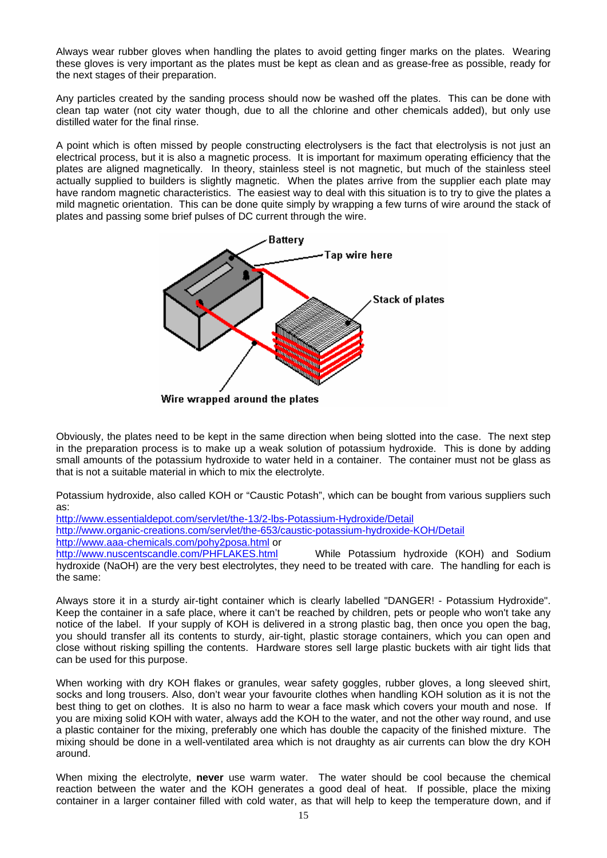Always wear rubber gloves when handling the plates to avoid getting finger marks on the plates. Wearing these gloves is very important as the plates must be kept as clean and as grease-free as possible, ready for the next stages of their preparation.

Any particles created by the sanding process should now be washed off the plates. This can be done with clean tap water (not city water though, due to all the chlorine and other chemicals added), but only use distilled water for the final rinse.

A point which is often missed by people constructing electrolysers is the fact that electrolysis is not just an electrical process, but it is also a magnetic process. It is important for maximum operating efficiency that the plates are aligned magnetically. In theory, stainless steel is not magnetic, but much of the stainless steel actually supplied to builders is slightly magnetic. When the plates arrive from the supplier each plate may have random magnetic characteristics. The easiest way to deal with this situation is to try to give the plates a mild magnetic orientation. This can be done quite simply by wrapping a few turns of wire around the stack of plates and passing some brief pulses of DC current through the wire.



Obviously, the plates need to be kept in the same direction when being slotted into the case. The next step in the preparation process is to make up a weak solution of potassium hydroxide. This is done by adding small amounts of the potassium hydroxide to water held in a container. The container must not be glass as that is not a suitable material in which to mix the electrolyte.

Potassium hydroxide, also called KOH or "Caustic Potash", which can be bought from various suppliers such as:

<http://www.essentialdepot.com/servlet/the-13/2-lbs-Potassium-Hydroxide/Detail>

<http://www.organic-creations.com/servlet/the-653/caustic-potassium-hydroxide-KOH/Detail>

<http://www.aaa-chemicals.com/pohy2posa.html> or

<http://www.nuscentscandle.com/PHFLAKES.html>While Potassium hydroxide (KOH) and Sodium hydroxide (NaOH) are the very best electrolytes, they need to be treated with care. The handling for each is the same:

Always store it in a sturdy air-tight container which is clearly labelled "DANGER! - Potassium Hydroxide". Keep the container in a safe place, where it can't be reached by children, pets or people who won't take any notice of the label. If your supply of KOH is delivered in a strong plastic bag, then once you open the bag, you should transfer all its contents to sturdy, air-tight, plastic storage containers, which you can open and close without risking spilling the contents. Hardware stores sell large plastic buckets with air tight lids that can be used for this purpose.

When working with dry KOH flakes or granules, wear safety goggles, rubber gloves, a long sleeved shirt, socks and long trousers. Also, don't wear your favourite clothes when handling KOH solution as it is not the best thing to get on clothes. It is also no harm to wear a face mask which covers your mouth and nose. If you are mixing solid KOH with water, always add the KOH to the water, and not the other way round, and use a plastic container for the mixing, preferably one which has double the capacity of the finished mixture. The mixing should be done in a well-ventilated area which is not draughty as air currents can blow the dry KOH around.

When mixing the electrolyte, **never** use warm water. The water should be cool because the chemical reaction between the water and the KOH generates a good deal of heat. If possible, place the mixing container in a larger container filled with cold water, as that will help to keep the temperature down, and if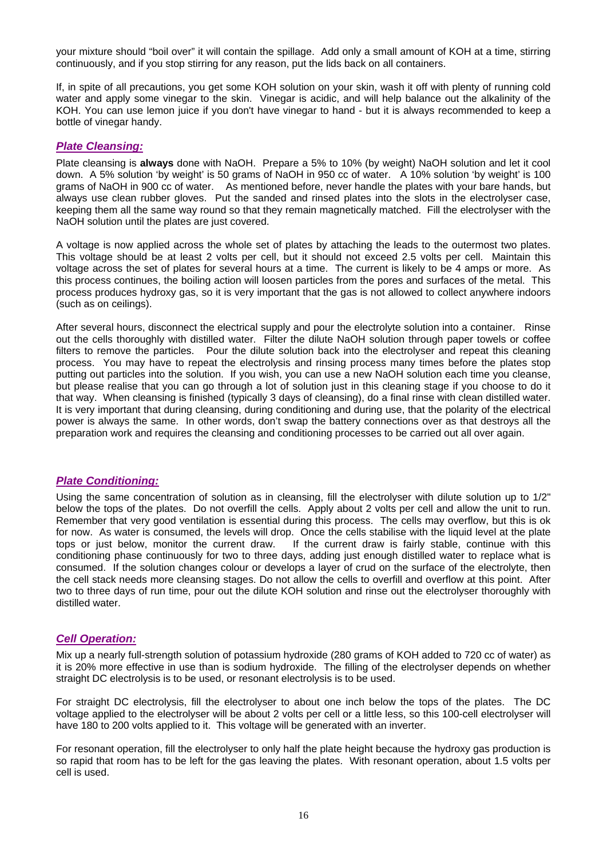your mixture should "boil over" it will contain the spillage. Add only a small amount of KOH at a time, stirring continuously, and if you stop stirring for any reason, put the lids back on all containers.

If, in spite of all precautions, you get some KOH solution on your skin, wash it off with plenty of running cold water and apply some vinegar to the skin. Vinegar is acidic, and will help balance out the alkalinity of the KOH. You can use lemon juice if you don't have vinegar to hand - but it is always recommended to keep a bottle of vinegar handy.

# *Plate Cleansing:*

Plate cleansing is **always** done with NaOH. Prepare a 5% to 10% (by weight) NaOH solution and let it cool down. A 5% solution 'by weight' is 50 grams of NaOH in 950 cc of water. A 10% solution 'by weight' is 100 grams of NaOH in 900 cc of water. As mentioned before, never handle the plates with your bare hands, but always use clean rubber gloves. Put the sanded and rinsed plates into the slots in the electrolyser case, keeping them all the same way round so that they remain magnetically matched. Fill the electrolyser with the NaOH solution until the plates are just covered.

A voltage is now applied across the whole set of plates by attaching the leads to the outermost two plates. This voltage should be at least 2 volts per cell, but it should not exceed 2.5 volts per cell. Maintain this voltage across the set of plates for several hours at a time. The current is likely to be 4 amps or more. As this process continues, the boiling action will loosen particles from the pores and surfaces of the metal. This process produces hydroxy gas, so it is very important that the gas is not allowed to collect anywhere indoors (such as on ceilings).

After several hours, disconnect the electrical supply and pour the electrolyte solution into a container. Rinse out the cells thoroughly with distilled water. Filter the dilute NaOH solution through paper towels or coffee filters to remove the particles. Pour the dilute solution back into the electrolyser and repeat this cleaning process. You may have to repeat the electrolysis and rinsing process many times before the plates stop putting out particles into the solution. If you wish, you can use a new NaOH solution each time you cleanse, but please realise that you can go through a lot of solution just in this cleaning stage if you choose to do it that way. When cleansing is finished (typically 3 days of cleansing), do a final rinse with clean distilled water. It is very important that during cleansing, during conditioning and during use, that the polarity of the electrical power is always the same. In other words, don't swap the battery connections over as that destroys all the preparation work and requires the cleansing and conditioning processes to be carried out all over again.

# *Plate Conditioning:*

Using the same concentration of solution as in cleansing, fill the electrolyser with dilute solution up to 1/2" below the tops of the plates. Do not overfill the cells. Apply about 2 volts per cell and allow the unit to run. Remember that very good ventilation is essential during this process. The cells may overflow, but this is ok for now. As water is consumed, the levels will drop. Once the cells stabilise with the liquid level at the plate tops or just below, monitor the current draw. If the current draw is fairly stable, continue with this conditioning phase continuously for two to three days, adding just enough distilled water to replace what is consumed. If the solution changes colour or develops a layer of crud on the surface of the electrolyte, then the cell stack needs more cleansing stages. Do not allow the cells to overfill and overflow at this point. After two to three days of run time, pour out the dilute KOH solution and rinse out the electrolyser thoroughly with distilled water.

# *Cell Operation:*

Mix up a nearly full-strength solution of potassium hydroxide (280 grams of KOH added to 720 cc of water) as it is 20% more effective in use than is sodium hydroxide. The filling of the electrolyser depends on whether straight DC electrolysis is to be used, or resonant electrolysis is to be used.

For straight DC electrolysis, fill the electrolyser to about one inch below the tops of the plates. The DC voltage applied to the electrolyser will be about 2 volts per cell or a little less, so this 100-cell electrolyser will have 180 to 200 volts applied to it. This voltage will be generated with an inverter.

For resonant operation, fill the electrolyser to only half the plate height because the hydroxy gas production is so rapid that room has to be left for the gas leaving the plates. With resonant operation, about 1.5 volts per cell is used.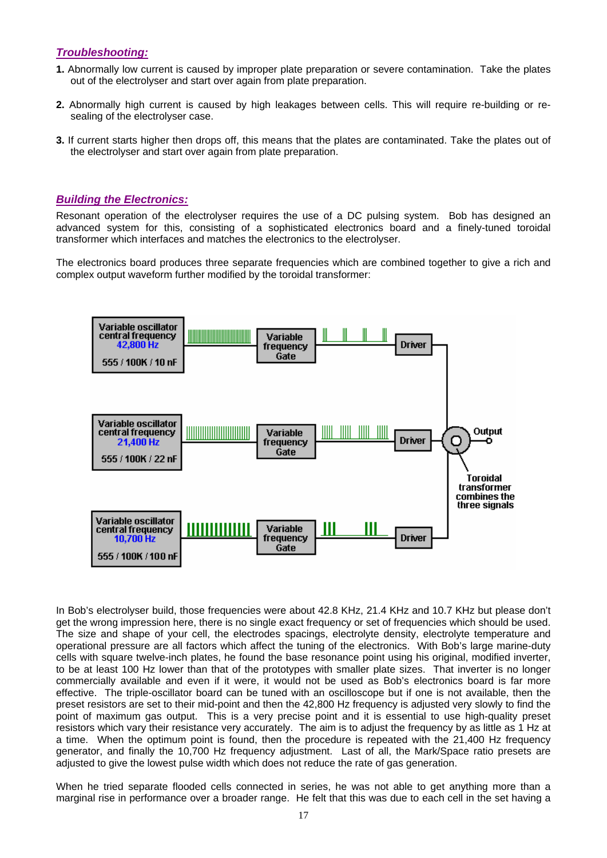# *Troubleshooting:*

- **1.** Abnormally low current is caused by improper plate preparation or severe contamination. Take the plates out of the electrolyser and start over again from plate preparation.
- **2.** Abnormally high current is caused by high leakages between cells. This will require re-building or resealing of the electrolyser case.
- **3.** If current starts higher then drops off, this means that the plates are contaminated. Take the plates out of the electrolyser and start over again from plate preparation.

# *Building the Electronics:*

Resonant operation of the electrolyser requires the use of a DC pulsing system. Bob has designed an advanced system for this, consisting of a sophisticated electronics board and a finely-tuned toroidal transformer which interfaces and matches the electronics to the electrolyser.

The electronics board produces three separate frequencies which are combined together to give a rich and complex output waveform further modified by the toroidal transformer:



In Bob's electrolyser build, those frequencies were about 42.8 KHz, 21.4 KHz and 10.7 KHz but please don't get the wrong impression here, there is no single exact frequency or set of frequencies which should be used. The size and shape of your cell, the electrodes spacings, electrolyte density, electrolyte temperature and operational pressure are all factors which affect the tuning of the electronics. With Bob's large marine-duty cells with square twelve-inch plates, he found the base resonance point using his original, modified inverter, to be at least 100 Hz lower than that of the prototypes with smaller plate sizes. That inverter is no longer commercially available and even if it were, it would not be used as Bob's electronics board is far more effective. The triple-oscillator board can be tuned with an oscilloscope but if one is not available, then the preset resistors are set to their mid-point and then the 42,800 Hz frequency is adjusted very slowly to find the point of maximum gas output. This is a very precise point and it is essential to use high-quality preset resistors which vary their resistance very accurately. The aim is to adjust the frequency by as little as 1 Hz at a time. When the optimum point is found, then the procedure is repeated with the 21,400 Hz frequency generator, and finally the 10,700 Hz frequency adjustment. Last of all, the Mark/Space ratio presets are adjusted to give the lowest pulse width which does not reduce the rate of gas generation.

When he tried separate flooded cells connected in series, he was not able to get anything more than a marginal rise in performance over a broader range. He felt that this was due to each cell in the set having a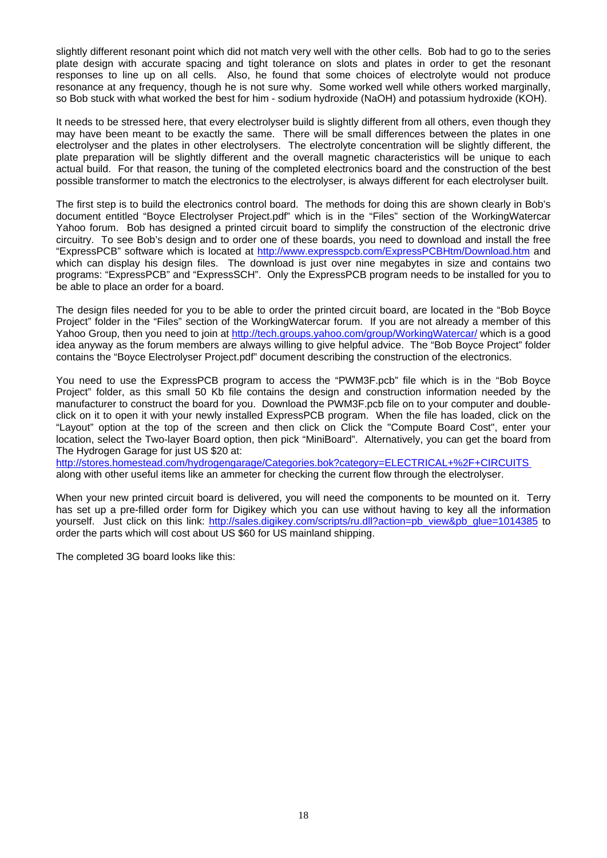slightly different resonant point which did not match very well with the other cells. Bob had to go to the series plate design with accurate spacing and tight tolerance on slots and plates in order to get the resonant responses to line up on all cells. Also, he found that some choices of electrolyte would not produce resonance at any frequency, though he is not sure why. Some worked well while others worked marginally, so Bob stuck with what worked the best for him - sodium hydroxide (NaOH) and potassium hydroxide (KOH).

It needs to be stressed here, that every electrolyser build is slightly different from all others, even though they may have been meant to be exactly the same. There will be small differences between the plates in one electrolyser and the plates in other electrolysers. The electrolyte concentration will be slightly different, the plate preparation will be slightly different and the overall magnetic characteristics will be unique to each actual build. For that reason, the tuning of the completed electronics board and the construction of the best possible transformer to match the electronics to the electrolyser, is always different for each electrolyser built.

The first step is to build the electronics control board. The methods for doing this are shown clearly in Bob's document entitled "Boyce Electrolyser Project.pdf" which is in the "Files" section of the WorkingWatercar Yahoo forum. Bob has designed a printed circuit board to simplify the construction of the electronic drive circuitry. To see Bob's design and to order one of these boards, you need to download and install the free "ExpressPCB" software which is located at http://www.expresspcb.com/ExpressPCBHtm/Download.htm and which can display his design files. The download is just over nine megabytes in size and contains two programs: "ExpressPCB" and "ExpressSCH". Only the ExpressPCB program needs to be installed for you to be able to place an order for a board.

The design files needed for you to be able to order the printed circuit board, are located in the "Bob Boyce Project" folder in the "Files" section of the WorkingWatercar forum. If you are not already a member of this Yahoo Group, then you need to join at http://tech.groups.yahoo.com/group/WorkingWatercar/ which is a good idea anyway as the forum members are always willing to give helpful advice. The "Bob Boyce Project" folder contains the "Boyce Electrolyser Project.pdf" document describing the construction of the electronics.

You need to use the ExpressPCB program to access the "PWM3F.pcb" file which is in the "Bob Boyce Project" folder, as this small 50 Kb file contains the design and construction information needed by the manufacturer to construct the board for you. Download the PWM3F.pcb file on to your computer and doubleclick on it to open it with your newly installed ExpressPCB program. When the file has loaded, click on the "Layout" option at the top of the screen and then click on Click the "Compute Board Cost", enter your location, select the Two-layer Board option, then pick "MiniBoard". Alternatively, you can get the board from The Hydrogen Garage for just US \$20 at:

http://stores.homestead.com/hydrogengarage/Categories.bok?category=ELECTRICAL+%2F+CIRCUITS along with other useful items like an ammeter for checking the current flow through the electrolyser.

When your new printed circuit board is delivered, you will need the components to be mounted on it. Terry has set up a pre-filled order form for Digikey which you can use without having to key all the information yourself. Just click on this link: http://sales.digikey.com/scripts/ru.dll?action=pb\_view&pb\_glue=1014385 to order the parts which will cost about US \$60 for US mainland shipping.

The completed 3G board looks like this: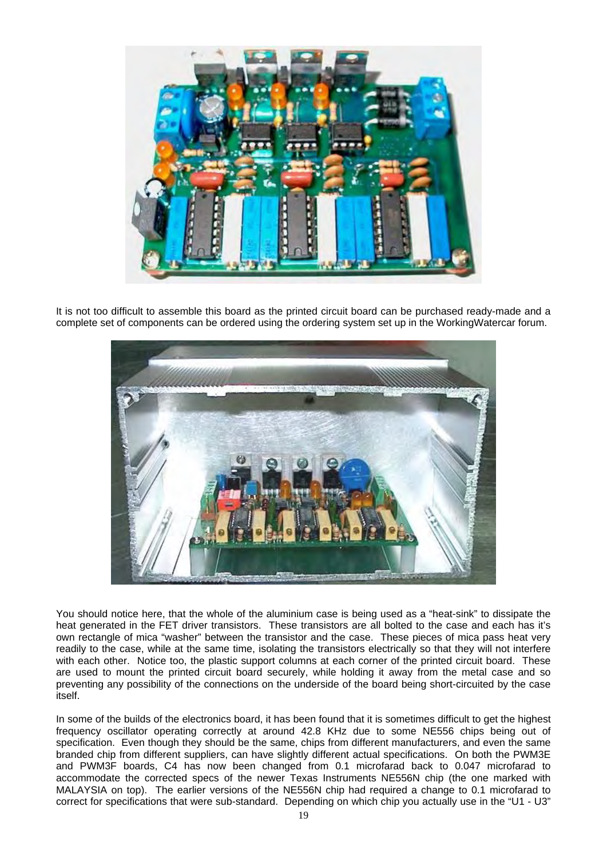

It is not too difficult to assemble this board as the printed circuit board can be purchased ready-made and a complete set of components can be ordered using the ordering system set up in the WorkingWatercar forum.



You should notice here, that the whole of the aluminium case is being used as a "heat-sink" to dissipate the heat generated in the FET driver transistors. These transistors are all bolted to the case and each has it's own rectangle of mica "washer" between the transistor and the case. These pieces of mica pass heat very readily to the case, while at the same time, isolating the transistors electrically so that they will not interfere with each other. Notice too, the plastic support columns at each corner of the printed circuit board. These are used to mount the printed circuit board securely, while holding it away from the metal case and so preventing any possibility of the connections on the underside of the board being short-circuited by the case itself.

In some of the builds of the electronics board, it has been found that it is sometimes difficult to get the highest frequency oscillator operating correctly at around 42.8 KHz due to some NE556 chips being out of specification. Even though they should be the same, chips from different manufacturers, and even the same branded chip from different suppliers, can have slightly different actual specifications. On both the PWM3E and PWM3F boards, C4 has now been changed from 0.1 microfarad back to 0.047 microfarad to accommodate the corrected specs of the newer Texas Instruments NE556N chip (the one marked with MALAYSIA on top). The earlier versions of the NE556N chip had required a change to 0.1 microfarad to correct for specifications that were sub-standard. Depending on which chip you actually use in the "U1 - U3"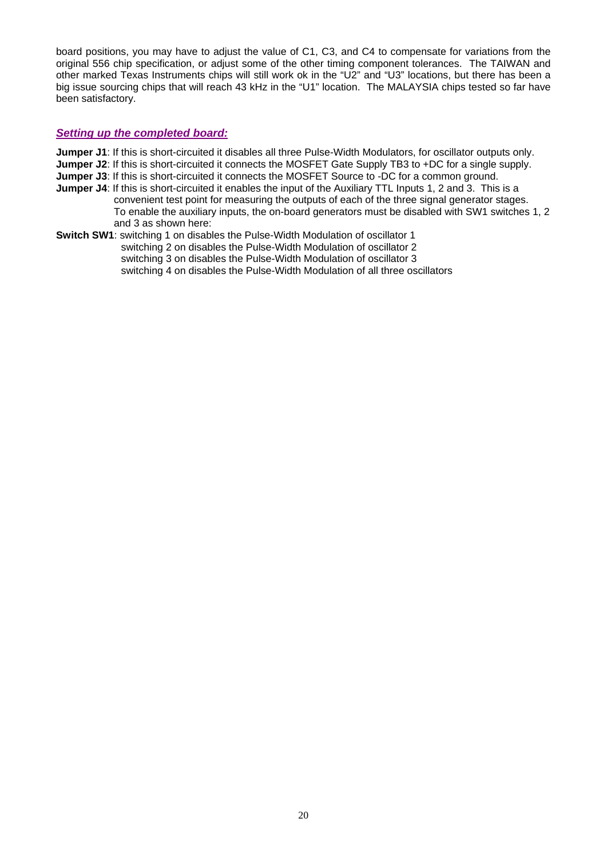board positions, you may have to adjust the value of C1, C3, and C4 to compensate for variations from the original 556 chip specification, or adjust some of the other timing component tolerances. The TAIWAN and other marked Texas Instruments chips will still work ok in the "U2" and "U3" locations, but there has been a big issue sourcing chips that will reach 43 kHz in the "U1" location. The MALAYSIA chips tested so far have been satisfactory.

#### *Setting up the completed board:*

- **Jumper J1**: If this is short-circuited it disables all three Pulse-Width Modulators, for oscillator outputs only.
- **Jumper J2:** If this is short-circuited it connects the MOSFET Gate Supply TB3 to +DC for a single supply.
- **Jumper J3:** If this is short-circuited it connects the MOSFET Source to -DC for a common ground.
- **Jumper J4:** If this is short-circuited it enables the input of the Auxiliary TTL Inputs 1, 2 and 3. This is a convenient test point for measuring the outputs of each of the three signal generator stages. To enable the auxiliary inputs, the on-board generators must be disabled with SW1 switches 1, 2 and 3 as shown here:
- **Switch SW1**: switching 1 on disables the Pulse-Width Modulation of oscillator 1 switching 2 on disables the Pulse-Width Modulation of oscillator 2 switching 3 on disables the Pulse-Width Modulation of oscillator 3 switching 4 on disables the Pulse-Width Modulation of all three oscillators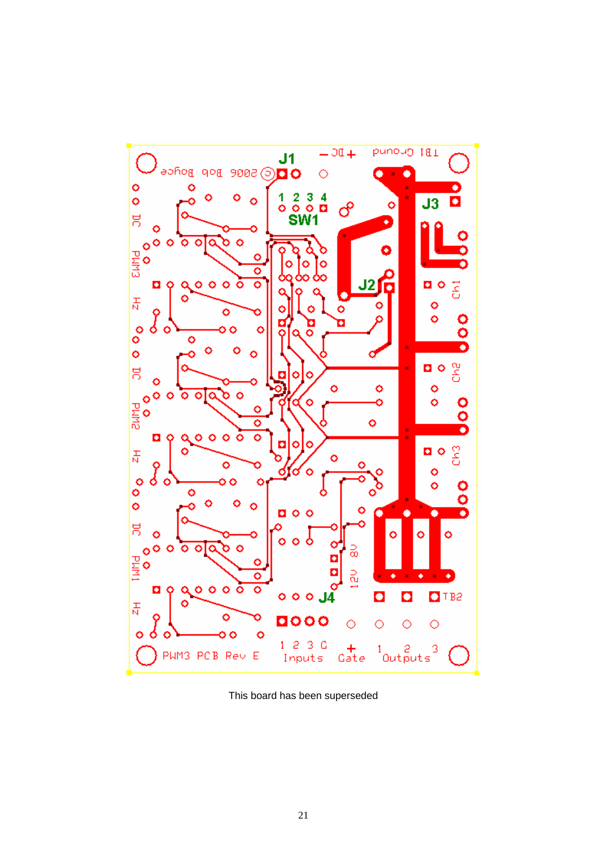

This board has been superseded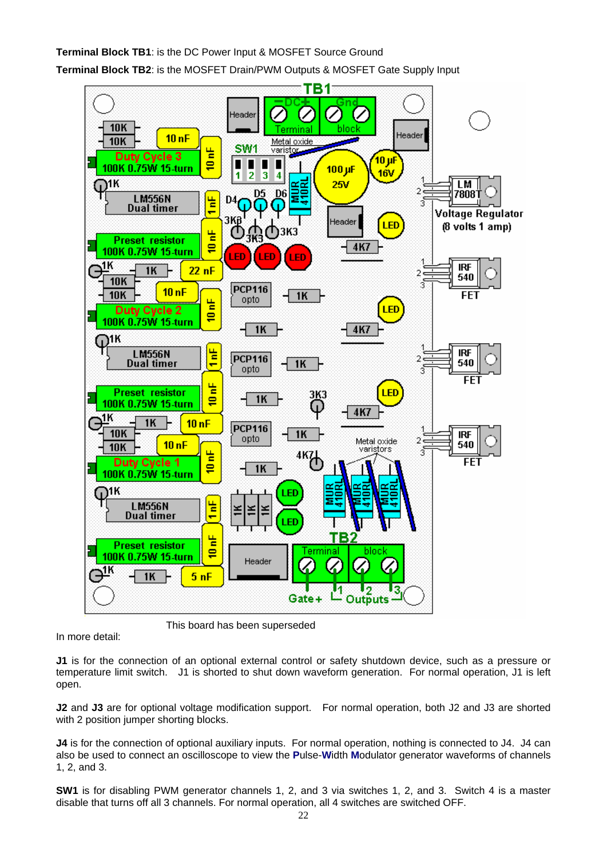# **Terminal Block TB1**: is the DC Power Input & MOSFET Source Ground

**Terminal Block TB2**: is the MOSFET Drain/PWM Outputs & MOSFET Gate Supply Input



In more detail:

This board has been superseded

**J1** is for the connection of an optional external control or safety shutdown device, such as a pressure or temperature limit switch. J1 is shorted to shut down waveform generation. For normal operation, J1 is left open.

**J2** and **J3** are for optional voltage modification support. For normal operation, both J2 and J3 are shorted with 2 position jumper shorting blocks.

**J4** is for the connection of optional auxiliary inputs. For normal operation, nothing is connected to J4. J4 can also be used to connect an oscilloscope to view the **P**ulse-**W**idth **M**odulator generator waveforms of channels 1, 2, and 3.

**SW1** is for disabling PWM generator channels 1, 2, and 3 via switches 1, 2, and 3. Switch 4 is a master disable that turns off all 3 channels. For normal operation, all 4 switches are switched OFF.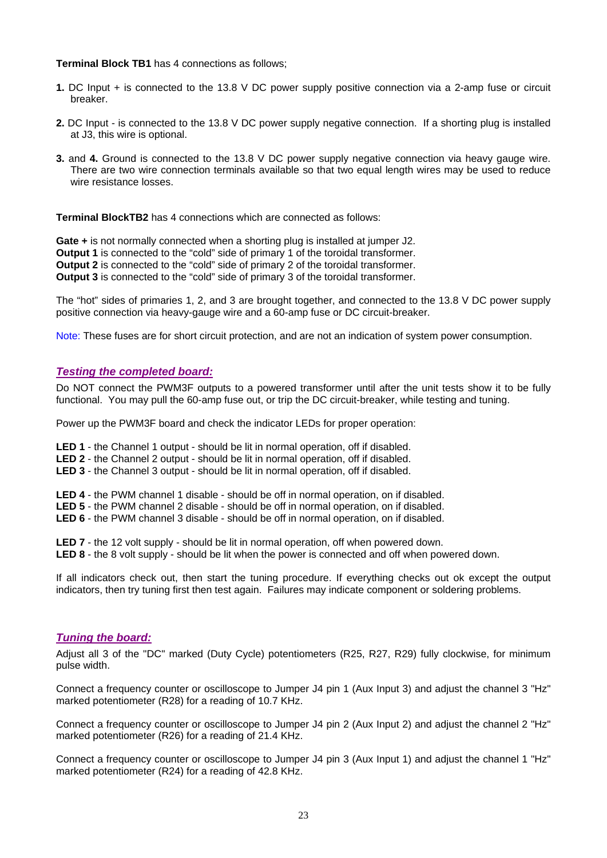#### **Terminal Block TB1** has 4 connections as follows:

- **1.** DC Input + is connected to the 13.8 V DC power supply positive connection via a 2-amp fuse or circuit breaker.
- **2.** DC Input is connected to the 13.8 V DC power supply negative connection. If a shorting plug is installed at J3, this wire is optional.
- **3.** and **4.** Ground is connected to the 13.8 V DC power supply negative connection via heavy gauge wire. There are two wire connection terminals available so that two equal length wires may be used to reduce wire resistance losses.

**Terminal BlockTB2** has 4 connections which are connected as follows:

**Gate +** is not normally connected when a shorting plug is installed at jumper J2. **Output 1** is connected to the "cold" side of primary 1 of the toroidal transformer. **Output 2** is connected to the "cold" side of primary 2 of the toroidal transformer. **Output 3** is connected to the "cold" side of primary 3 of the toroidal transformer.

The "hot" sides of primaries 1, 2, and 3 are brought together, and connected to the 13.8 V DC power supply positive connection via heavy-gauge wire and a 60-amp fuse or DC circuit-breaker.

Note: These fuses are for short circuit protection, and are not an indication of system power consumption.

# *Testing the completed board:*

Do NOT connect the PWM3F outputs to a powered transformer until after the unit tests show it to be fully functional. You may pull the 60-amp fuse out, or trip the DC circuit-breaker, while testing and tuning.

Power up the PWM3F board and check the indicator LEDs for proper operation:

**LED 1** - the Channel 1 output - should be lit in normal operation, off if disabled.

**LED 2** - the Channel 2 output - should be lit in normal operation, off if disabled.

**LED 3** - the Channel 3 output - should be lit in normal operation, off if disabled.

**LED 4** - the PWM channel 1 disable - should be off in normal operation, on if disabled.

- **LED 5** the PWM channel 2 disable should be off in normal operation, on if disabled.
- **LED 6** the PWM channel 3 disable should be off in normal operation, on if disabled.

**LED 7** - the 12 volt supply - should be lit in normal operation, off when powered down. **LED 8** - the 8 volt supply - should be lit when the power is connected and off when powered down.

If all indicators check out, then start the tuning procedure. If everything checks out ok except the output indicators, then try tuning first then test again. Failures may indicate component or soldering problems.

#### *Tuning the board:*

Adjust all 3 of the "DC" marked (Duty Cycle) potentiometers (R25, R27, R29) fully clockwise, for minimum pulse width.

Connect a frequency counter or oscilloscope to Jumper J4 pin 1 (Aux Input 3) and adjust the channel 3 "Hz" marked potentiometer (R28) for a reading of 10.7 KHz.

Connect a frequency counter or oscilloscope to Jumper J4 pin 2 (Aux Input 2) and adjust the channel 2 "Hz" marked potentiometer (R26) for a reading of 21.4 KHz.

Connect a frequency counter or oscilloscope to Jumper J4 pin 3 (Aux Input 1) and adjust the channel 1 "Hz" marked potentiometer (R24) for a reading of 42.8 KHz.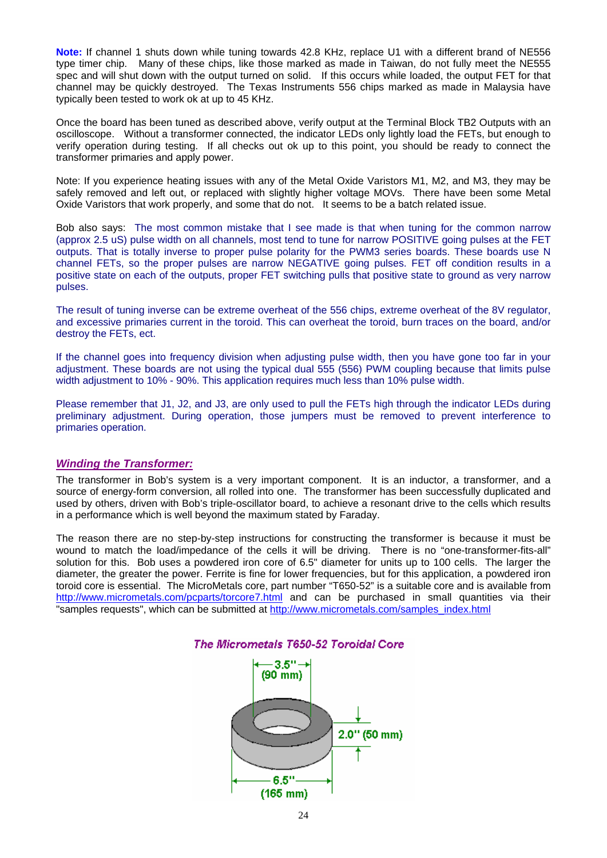**Note:** If channel 1 shuts down while tuning towards 42.8 KHz, replace U1 with a different brand of NE556 type timer chip. Many of these chips, like those marked as made in Taiwan, do not fully meet the NE555 spec and will shut down with the output turned on solid. If this occurs while loaded, the output FET for that channel may be quickly destroyed. The Texas Instruments 556 chips marked as made in Malaysia have typically been tested to work ok at up to 45 KHz.

Once the board has been tuned as described above, verify output at the Terminal Block TB2 Outputs with an oscilloscope. Without a transformer connected, the indicator LEDs only lightly load the FETs, but enough to verify operation during testing. If all checks out ok up to this point, you should be ready to connect the transformer primaries and apply power.

Note: If you experience heating issues with any of the Metal Oxide Varistors M1, M2, and M3, they may be safely removed and left out, or replaced with slightly higher voltage MOVs. There have been some Metal Oxide Varistors that work properly, and some that do not. It seems to be a batch related issue.

Bob also says: The most common mistake that I see made is that when tuning for the common narrow (approx 2.5 uS) pulse width on all channels, most tend to tune for narrow POSITIVE going pulses at the FET outputs. That is totally inverse to proper pulse polarity for the PWM3 series boards. These boards use N channel FETs, so the proper pulses are narrow NEGATIVE going pulses. FET off condition results in a positive state on each of the outputs, proper FET switching pulls that positive state to ground as very narrow pulses.

The result of tuning inverse can be extreme overheat of the 556 chips, extreme overheat of the 8V regulator, and excessive primaries current in the toroid. This can overheat the toroid, burn traces on the board, and/or destroy the FETs, ect.

If the channel goes into frequency division when adjusting pulse width, then you have gone too far in your adjustment. These boards are not using the typical dual 555 (556) PWM coupling because that limits pulse width adjustment to 10% - 90%. This application requires much less than 10% pulse width.

Please remember that J1, J2, and J3, are only used to pull the FETs high through the indicator LEDs during preliminary adjustment. During operation, those jumpers must be removed to prevent interference to primaries operation.

# *Winding the Transformer:*

The transformer in Bob's system is a very important component. It is an inductor, a transformer, and a source of energy-form conversion, all rolled into one. The transformer has been successfully duplicated and used by others, driven with Bob's triple-oscillator board, to achieve a resonant drive to the cells which results in a performance which is well beyond the maximum stated by Faraday.

The reason there are no step-by-step instructions for constructing the transformer is because it must be wound to match the load/impedance of the cells it will be driving. There is no "one-transformer-fits-all" solution for this. Bob uses a powdered iron core of 6.5" diameter for units up to 100 cells. The larger the diameter, the greater the power. Ferrite is fine for lower frequencies, but for this application, a powdered iron toroid core is essential. The MicroMetals core, part number "T650-52" is a suitable core and is available from http://www.micrometals.com/pcparts/torcore7.html and can be purchased in small quantities via their "samples requests", which can be submitted at http://www.micrometals.com/samples\_index.html



#### The Micrometals T650-52 Toroidal Core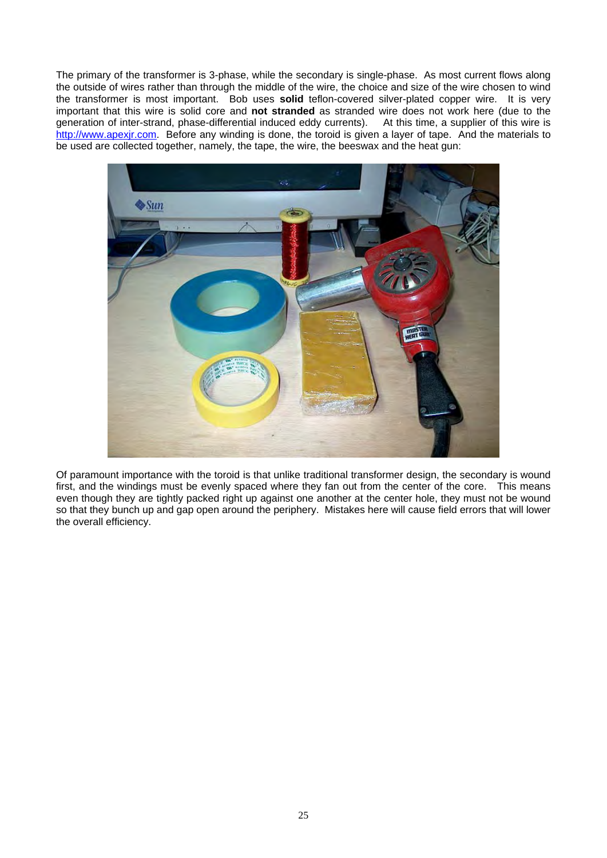The primary of the transformer is 3-phase, while the secondary is single-phase. As most current flows along the outside of wires rather than through the middle of the wire, the choice and size of the wire chosen to wind the transformer is most important. Bob uses **solid** teflon-covered silver-plated copper wire. It is very important that this wire is solid core and **not stranded** as stranded wire does not work here (due to the generation of inter-strand, phase-differential induced eddy currents). At this time, a supplier of this wire is http://www.apexjr.com. Before any winding is done, the toroid is given a layer of tape. And the materials to be used are collected together, namely, the tape, the wire, the beeswax and the heat gun:



Of paramount importance with the toroid is that unlike traditional transformer design, the secondary is wound first, and the windings must be evenly spaced where they fan out from the center of the core. This means even though they are tightly packed right up against one another at the center hole, they must not be wound so that they bunch up and gap open around the periphery. Mistakes here will cause field errors that will lower the overall efficiency.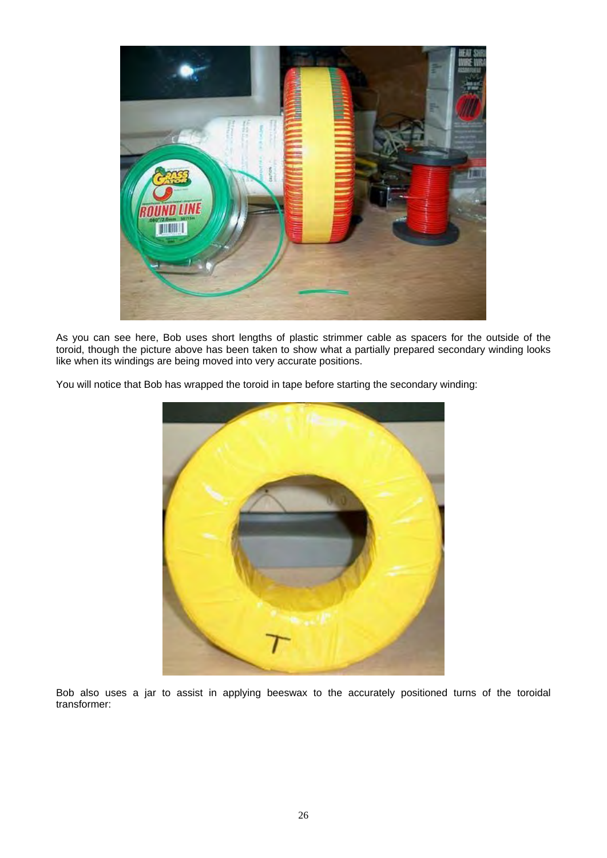

As you can see here, Bob uses short lengths of plastic strimmer cable as spacers for the outside of the toroid, though the picture above has been taken to show what a partially prepared secondary winding looks like when its windings are being moved into very accurate positions.

You will notice that Bob has wrapped the toroid in tape before starting the secondary winding:



Bob also uses a jar to assist in applying beeswax to the accurately positioned turns of the toroidal transformer: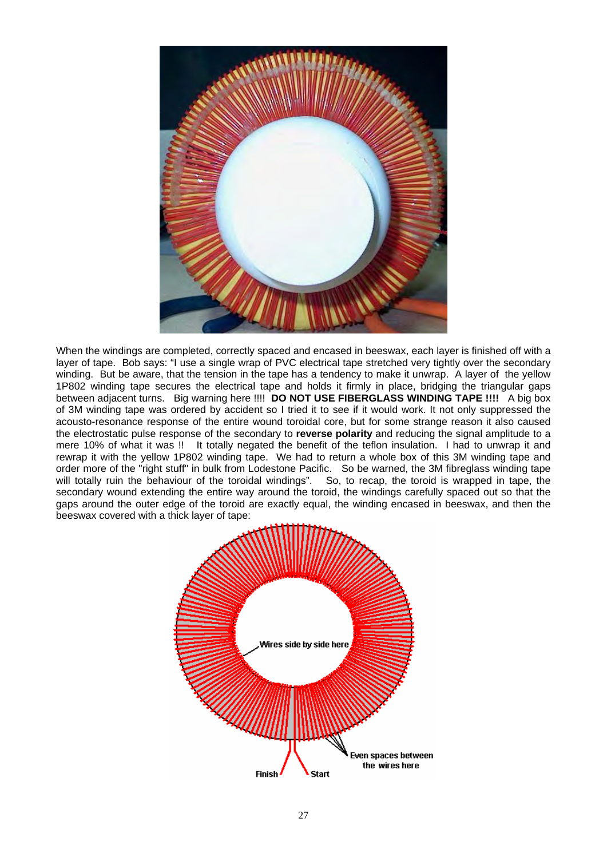

When the windings are completed, correctly spaced and encased in beeswax, each layer is finished off with a layer of tape. Bob says: "I use a single wrap of PVC electrical tape stretched very tightly over the secondary winding. But be aware, that the tension in the tape has a tendency to make it unwrap. A layer of the yellow 1P802 winding tape secures the electrical tape and holds it firmly in place, bridging the triangular gaps between adjacent turns. Big warning here !!!! **DO NOT USE FIBERGLASS WINDING TAPE !!!!** A big box of 3M winding tape was ordered by accident so I tried it to see if it would work. It not only suppressed the acousto-resonance response of the entire wound toroidal core, but for some strange reason it also caused the electrostatic pulse response of the secondary to **reverse polarity** and reducing the signal amplitude to a mere 10% of what it was !! It totally negated the benefit of the teflon insulation. I had to unwrap it and rewrap it with the yellow 1P802 winding tape. We had to return a whole box of this 3M winding tape and order more of the "right stuff" in bulk from Lodestone Pacific. So be warned, the 3M fibreglass winding tape will totally ruin the behaviour of the toroidal windings". So, to recap, the toroid is wrapped in tape, the secondary wound extending the entire way around the toroid, the windings carefully spaced out so that the gaps around the outer edge of the toroid are exactly equal, the winding encased in beeswax, and then the beeswax covered with a thick layer of tape:

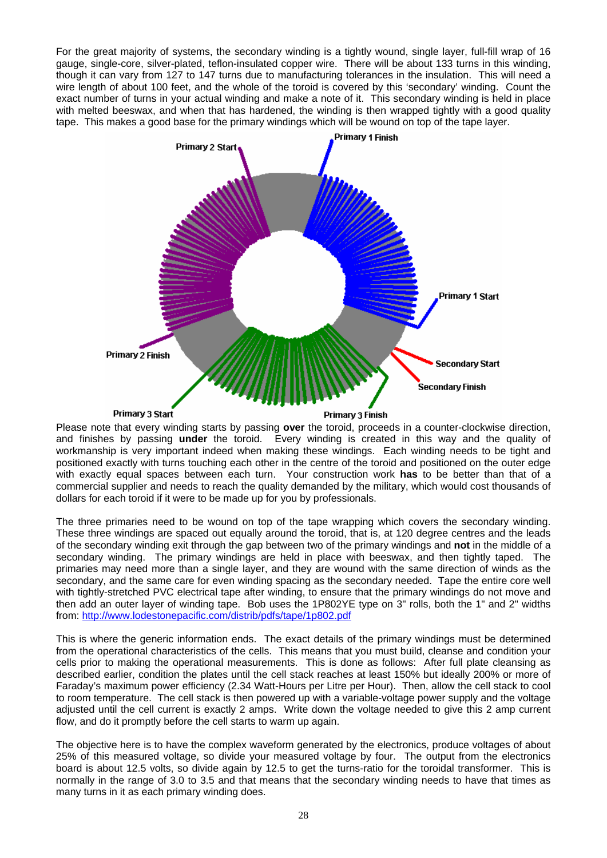For the great majority of systems, the secondary winding is a tightly wound, single layer, full-fill wrap of 16 gauge, single-core, silver-plated, teflon-insulated copper wire. There will be about 133 turns in this winding, though it can vary from 127 to 147 turns due to manufacturing tolerances in the insulation. This will need a wire length of about 100 feet, and the whole of the toroid is covered by this 'secondary' winding. Count the exact number of turns in your actual winding and make a note of it. This secondary winding is held in place with melted beeswax, and when that has hardened, the winding is then wrapped tightly with a good quality tape. This makes a good base for the primary windings which will be wound on top of the tape layer.



Please note that every winding starts by passing **over** the toroid, proceeds in a counter-clockwise direction, and finishes by passing **under** the toroid. Every winding is created in this way and the quality of workmanship is very important indeed when making these windings. Each winding needs to be tight and positioned exactly with turns touching each other in the centre of the toroid and positioned on the outer edge with exactly equal spaces between each turn. Your construction work **has** to be better than that of a commercial supplier and needs to reach the quality demanded by the military, which would cost thousands of dollars for each toroid if it were to be made up for you by professionals.

The three primaries need to be wound on top of the tape wrapping which covers the secondary winding. These three windings are spaced out equally around the toroid, that is, at 120 degree centres and the leads of the secondary winding exit through the gap between two of the primary windings and **not** in the middle of a secondary winding. The primary windings are held in place with beeswax, and then tightly taped. The primaries may need more than a single layer, and they are wound with the same direction of winds as the secondary, and the same care for even winding spacing as the secondary needed. Tape the entire core well with tightly-stretched PVC electrical tape after winding, to ensure that the primary windings do not move and then add an outer layer of winding tape. Bob uses the 1P802YE type on 3" rolls, both the 1" and 2" widths from: http://www.lodestonepacific.com/distrib/pdfs/tape/1p802.pdf

This is where the generic information ends. The exact details of the primary windings must be determined from the operational characteristics of the cells. This means that you must build, cleanse and condition your cells prior to making the operational measurements. This is done as follows: After full plate cleansing as described earlier, condition the plates until the cell stack reaches at least 150% but ideally 200% or more of Faraday's maximum power efficiency (2.34 Watt-Hours per Litre per Hour). Then, allow the cell stack to cool to room temperature. The cell stack is then powered up with a variable-voltage power supply and the voltage adjusted until the cell current is exactly 2 amps. Write down the voltage needed to give this 2 amp current flow, and do it promptly before the cell starts to warm up again.

The objective here is to have the complex waveform generated by the electronics, produce voltages of about 25% of this measured voltage, so divide your measured voltage by four. The output from the electronics board is about 12.5 volts, so divide again by 12.5 to get the turns-ratio for the toroidal transformer. This is normally in the range of 3.0 to 3.5 and that means that the secondary winding needs to have that times as many turns in it as each primary winding does.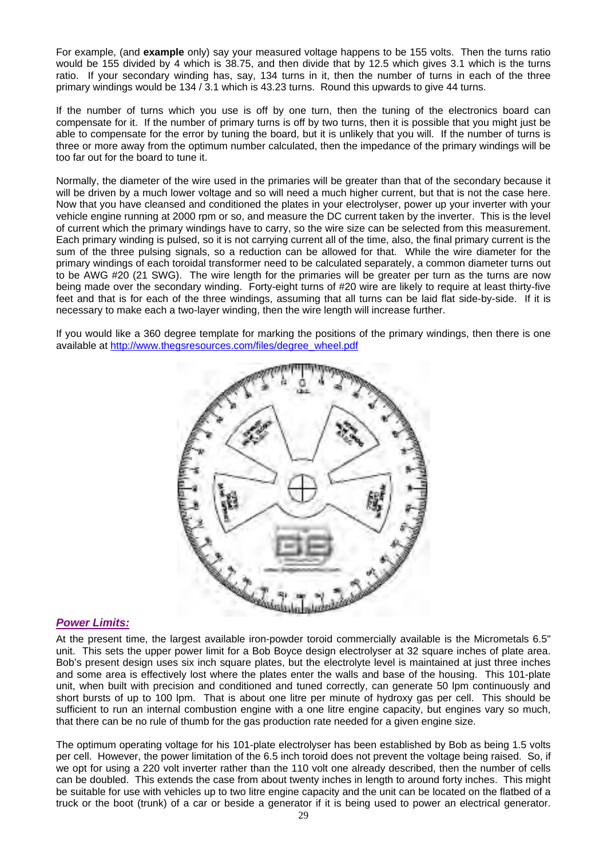For example, (and **example** only) say your measured voltage happens to be 155 volts. Then the turns ratio would be 155 divided by 4 which is 38.75, and then divide that by 12.5 which gives 3.1 which is the turns ratio. If your secondary winding has, say, 134 turns in it, then the number of turns in each of the three primary windings would be 134 / 3.1 which is 43.23 turns. Round this upwards to give 44 turns.

If the number of turns which you use is off by one turn, then the tuning of the electronics board can compensate for it. If the number of primary turns is off by two turns, then it is possible that you might just be able to compensate for the error by tuning the board, but it is unlikely that you will. If the number of turns is three or more away from the optimum number calculated, then the impedance of the primary windings will be too far out for the board to tune it.

Normally, the diameter of the wire used in the primaries will be greater than that of the secondary because it will be driven by a much lower voltage and so will need a much higher current, but that is not the case here. Now that you have cleansed and conditioned the plates in your electrolyser, power up your inverter with your vehicle engine running at 2000 rpm or so, and measure the DC current taken by the inverter. This is the level of current which the primary windings have to carry, so the wire size can be selected from this measurement. Each primary winding is pulsed, so it is not carrying current all of the time, also, the final primary current is the sum of the three pulsing signals, so a reduction can be allowed for that. While the wire diameter for the primary windings of each toroidal transformer need to be calculated separately, a common diameter turns out to be AWG #20 (21 SWG). The wire length for the primaries will be greater per turn as the turns are now being made over the secondary winding. Forty-eight turns of #20 wire are likely to require at least thirty-five feet and that is for each of the three windings, assuming that all turns can be laid flat side-by-side. If it is necessary to make each a two-layer winding, then the wire length will increase further.

If you would like a 360 degree template for marking the positions of the primary windings, then there is one available at http://www.thegsresources.com/files/degree\_wheel.pdf



# *Power Limits:*

At the present time, the largest available iron-powder toroid commercially available is the Micrometals 6.5" unit. This sets the upper power limit for a Bob Boyce design electrolyser at 32 square inches of plate area. Bob's present design uses six inch square plates, but the electrolyte level is maintained at just three inches and some area is effectively lost where the plates enter the walls and base of the housing. This 101-plate unit, when built with precision and conditioned and tuned correctly, can generate 50 lpm continuously and short bursts of up to 100 lpm. That is about one litre per minute of hydroxy gas per cell. This should be sufficient to run an internal combustion engine with a one litre engine capacity, but engines vary so much, that there can be no rule of thumb for the gas production rate needed for a given engine size.

The optimum operating voltage for his 101-plate electrolyser has been established by Bob as being 1.5 volts per cell. However, the power limitation of the 6.5 inch toroid does not prevent the voltage being raised. So, if we opt for using a 220 volt inverter rather than the 110 volt one already described, then the number of cells can be doubled. This extends the case from about twenty inches in length to around forty inches. This might be suitable for use with vehicles up to two litre engine capacity and the unit can be located on the flatbed of a truck or the boot (trunk) of a car or beside a generator if it is being used to power an electrical generator.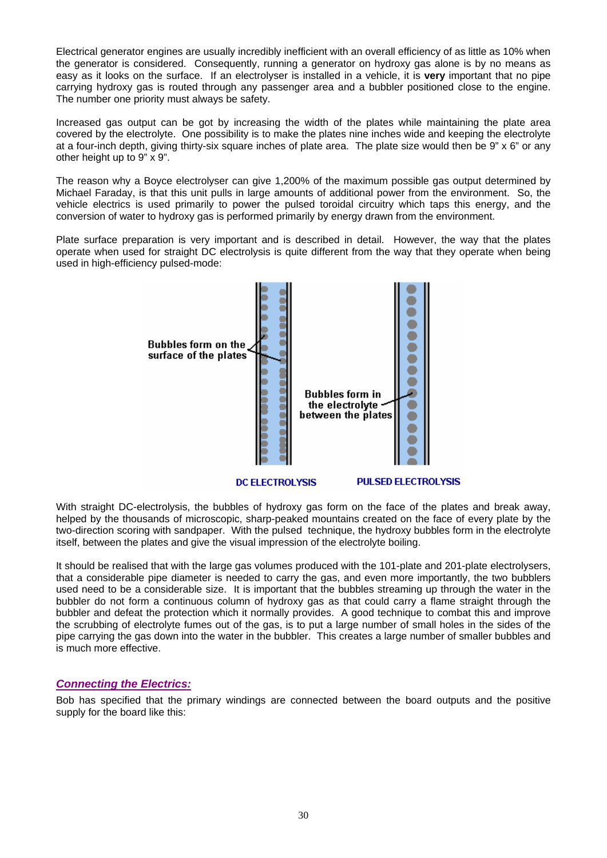Electrical generator engines are usually incredibly inefficient with an overall efficiency of as little as 10% when the generator is considered. Consequently, running a generator on hydroxy gas alone is by no means as easy as it looks on the surface. If an electrolyser is installed in a vehicle, it is **very** important that no pipe carrying hydroxy gas is routed through any passenger area and a bubbler positioned close to the engine. The number one priority must always be safety.

Increased gas output can be got by increasing the width of the plates while maintaining the plate area covered by the electrolyte. One possibility is to make the plates nine inches wide and keeping the electrolyte at a four-inch depth, giving thirty-six square inches of plate area. The plate size would then be 9" x 6" or any other height up to 9" x 9".

The reason why a Boyce electrolyser can give 1,200% of the maximum possible gas output determined by Michael Faraday, is that this unit pulls in large amounts of additional power from the environment. So, the vehicle electrics is used primarily to power the pulsed toroidal circuitry which taps this energy, and the conversion of water to hydroxy gas is performed primarily by energy drawn from the environment.

Plate surface preparation is very important and is described in detail. However, the way that the plates operate when used for straight DC electrolysis is quite different from the way that they operate when being used in high-efficiency pulsed-mode:



With straight DC-electrolysis, the bubbles of hydroxy gas form on the face of the plates and break away, helped by the thousands of microscopic, sharp-peaked mountains created on the face of every plate by the two-direction scoring with sandpaper. With the pulsed technique, the hydroxy bubbles form in the electrolyte itself, between the plates and give the visual impression of the electrolyte boiling.

It should be realised that with the large gas volumes produced with the 101-plate and 201-plate electrolysers, that a considerable pipe diameter is needed to carry the gas, and even more importantly, the two bubblers used need to be a considerable size. It is important that the bubbles streaming up through the water in the bubbler do not form a continuous column of hydroxy gas as that could carry a flame straight through the bubbler and defeat the protection which it normally provides. A good technique to combat this and improve the scrubbing of electrolyte fumes out of the gas, is to put a large number of small holes in the sides of the pipe carrying the gas down into the water in the bubbler. This creates a large number of smaller bubbles and is much more effective.

# *Connecting the Electrics:*

Bob has specified that the primary windings are connected between the board outputs and the positive supply for the board like this: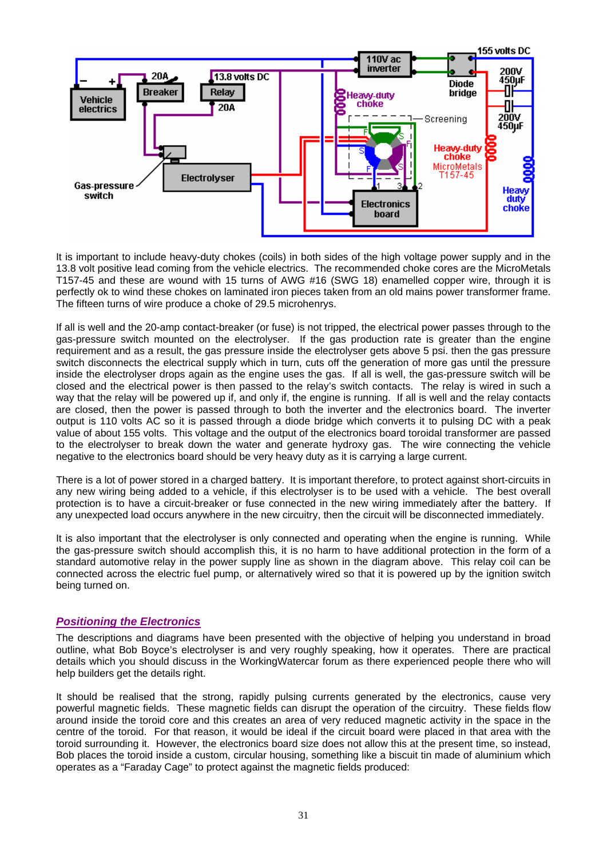

It is important to include heavy-duty chokes (coils) in both sides of the high voltage power supply and in the 13.8 volt positive lead coming from the vehicle electrics. The recommended choke cores are the MicroMetals T157-45 and these are wound with 15 turns of AWG #16 (SWG 18) enamelled copper wire, through it is perfectly ok to wind these chokes on laminated iron pieces taken from an old mains power transformer frame. The fifteen turns of wire produce a choke of 29.5 microhenrys.

If all is well and the 20-amp contact-breaker (or fuse) is not tripped, the electrical power passes through to the gas-pressure switch mounted on the electrolyser. If the gas production rate is greater than the engine requirement and as a result, the gas pressure inside the electrolyser gets above 5 psi. then the gas pressure switch disconnects the electrical supply which in turn, cuts off the generation of more gas until the pressure inside the electrolyser drops again as the engine uses the gas. If all is well, the gas-pressure switch will be closed and the electrical power is then passed to the relay's switch contacts. The relay is wired in such a way that the relay will be powered up if, and only if, the engine is running. If all is well and the relay contacts are closed, then the power is passed through to both the inverter and the electronics board. The inverter output is 110 volts AC so it is passed through a diode bridge which converts it to pulsing DC with a peak value of about 155 volts. This voltage and the output of the electronics board toroidal transformer are passed to the electrolyser to break down the water and generate hydroxy gas. The wire connecting the vehicle negative to the electronics board should be very heavy duty as it is carrying a large current.

There is a lot of power stored in a charged battery. It is important therefore, to protect against short-circuits in any new wiring being added to a vehicle, if this electrolyser is to be used with a vehicle. The best overall protection is to have a circuit-breaker or fuse connected in the new wiring immediately after the battery. If any unexpected load occurs anywhere in the new circuitry, then the circuit will be disconnected immediately.

It is also important that the electrolyser is only connected and operating when the engine is running. While the gas-pressure switch should accomplish this, it is no harm to have additional protection in the form of a standard automotive relay in the power supply line as shown in the diagram above. This relay coil can be connected across the electric fuel pump, or alternatively wired so that it is powered up by the ignition switch being turned on.

# *Positioning the Electronics*

The descriptions and diagrams have been presented with the objective of helping you understand in broad outline, what Bob Boyce's electrolyser is and very roughly speaking, how it operates. There are practical details which you should discuss in the WorkingWatercar forum as there experienced people there who will help builders get the details right.

It should be realised that the strong, rapidly pulsing currents generated by the electronics, cause very powerful magnetic fields. These magnetic fields can disrupt the operation of the circuitry. These fields flow around inside the toroid core and this creates an area of very reduced magnetic activity in the space in the centre of the toroid. For that reason, it would be ideal if the circuit board were placed in that area with the toroid surrounding it. However, the electronics board size does not allow this at the present time, so instead, Bob places the toroid inside a custom, circular housing, something like a biscuit tin made of aluminium which operates as a "Faraday Cage" to protect against the magnetic fields produced: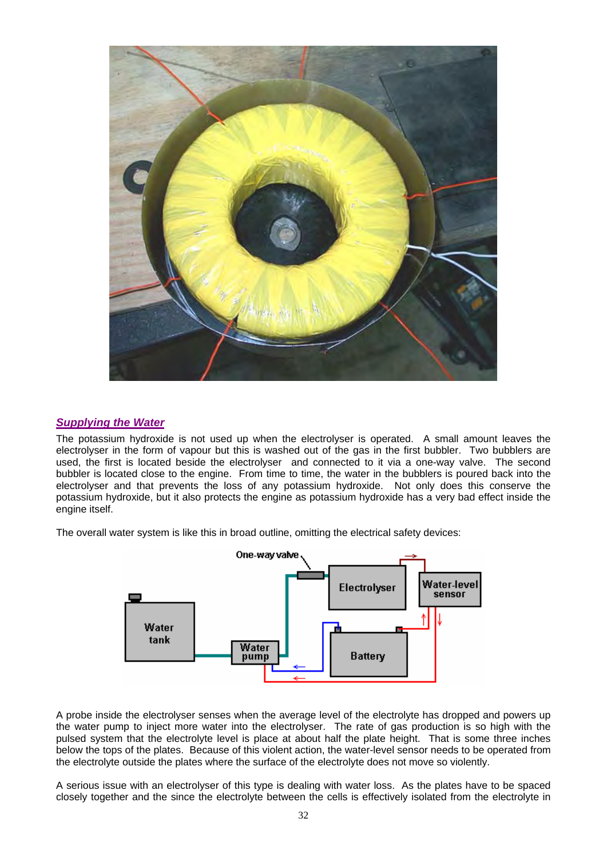

# *Supplying the Water*

The potassium hydroxide is not used up when the electrolyser is operated. A small amount leaves the electrolyser in the form of vapour but this is washed out of the gas in the first bubbler. Two bubblers are used, the first is located beside the electrolyser and connected to it via a one-way valve. The second bubbler is located close to the engine. From time to time, the water in the bubblers is poured back into the electrolyser and that prevents the loss of any potassium hydroxide. Not only does this conserve the potassium hydroxide, but it also protects the engine as potassium hydroxide has a very bad effect inside the engine itself.

The overall water system is like this in broad outline, omitting the electrical safety devices:



A probe inside the electrolyser senses when the average level of the electrolyte has dropped and powers up the water pump to inject more water into the electrolyser. The rate of gas production is so high with the pulsed system that the electrolyte level is place at about half the plate height. That is some three inches below the tops of the plates. Because of this violent action, the water-level sensor needs to be operated from the electrolyte outside the plates where the surface of the electrolyte does not move so violently.

A serious issue with an electrolyser of this type is dealing with water loss. As the plates have to be spaced closely together and the since the electrolyte between the cells is effectively isolated from the electrolyte in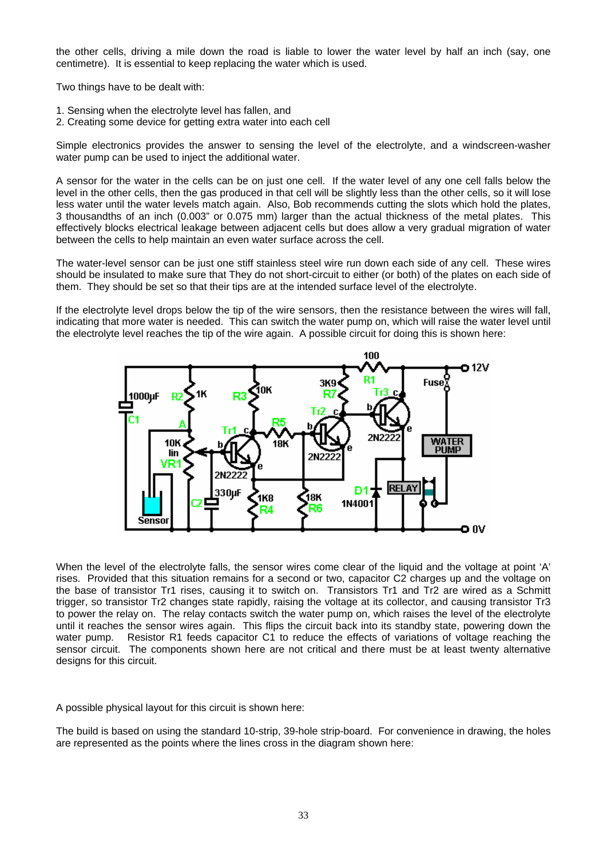the other cells, driving a mile down the road is liable to lower the water level by half an inch (say, one centimetre). It is essential to keep replacing the water which is used.

Two things have to be dealt with:

- 1. Sensing when the electrolyte level has fallen, and
- 2. Creating some device for getting extra water into each cell

Simple electronics provides the answer to sensing the level of the electrolyte, and a windscreen-washer water pump can be used to inject the additional water.

A sensor for the water in the cells can be on just one cell. If the water level of any one cell falls below the level in the other cells, then the gas produced in that cell will be slightly less than the other cells, so it will lose less water until the water levels match again. Also, Bob recommends cutting the slots which hold the plates, 3 thousandths of an inch (0.003" or 0.075 mm) larger than the actual thickness of the metal plates. This effectively blocks electrical leakage between adjacent cells but does allow a very gradual migration of water between the cells to help maintain an even water surface across the cell.

The water-level sensor can be just one stiff stainless steel wire run down each side of any cell. These wires should be insulated to make sure that They do not short-circuit to either (or both) of the plates on each side of them. They should be set so that their tips are at the intended surface level of the electrolyte.

If the electrolyte level drops below the tip of the wire sensors, then the resistance between the wires will fall, indicating that more water is needed. This can switch the water pump on, which will raise the water level until the electrolyte level reaches the tip of the wire again. A possible circuit for doing this is shown here:



When the level of the electrolyte falls, the sensor wires come clear of the liquid and the voltage at point 'A' rises. Provided that this situation remains for a second or two, capacitor C2 charges up and the voltage on the base of transistor Tr1 rises, causing it to switch on. Transistors Tr1 and Tr2 are wired as a Schmitt trigger, so transistor Tr2 changes state rapidly, raising the voltage at its collector, and causing transistor Tr3 to power the relay on. The relay contacts switch the water pump on, which raises the level of the electrolyte until it reaches the sensor wires again. This flips the circuit back into its standby state, powering down the water pump. Resistor R1 feeds capacitor C1 to reduce the effects of variations of voltage reaching the sensor circuit. The components shown here are not critical and there must be at least twenty alternative designs for this circuit.

A possible physical layout for this circuit is shown here:

The build is based on using the standard 10-strip, 39-hole strip-board. For convenience in drawing, the holes are represented as the points where the lines cross in the diagram shown here: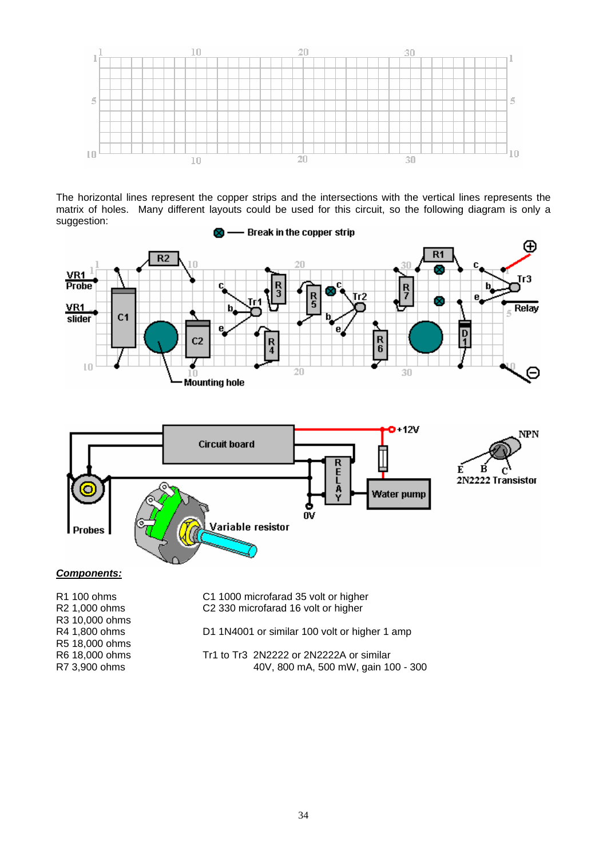

The horizontal lines represent the copper strips and the intersections with the vertical lines represents the matrix of holes. Many different layouts could be used for this circuit, so the following diagram is only a suggestion:

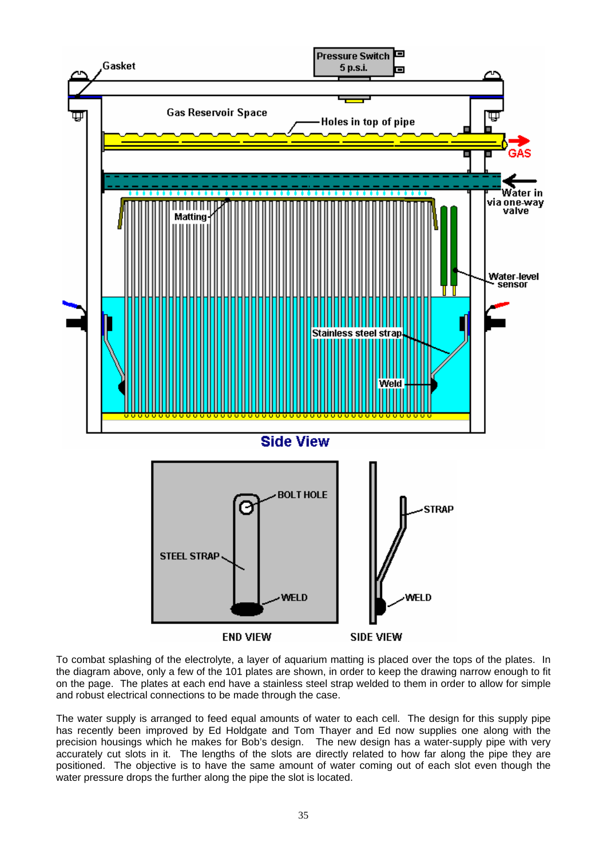

To combat splashing of the electrolyte, a layer of aquarium matting is placed over the tops of the plates. In the diagram above, only a few of the 101 plates are shown, in order to keep the drawing narrow enough to fit on the page. The plates at each end have a stainless steel strap welded to them in order to allow for simple and robust electrical connections to be made through the case.

The water supply is arranged to feed equal amounts of water to each cell. The design for this supply pipe has recently been improved by Ed Holdgate and Tom Thayer and Ed now supplies one along with the precision housings which he makes for Bob's design. The new design has a water-supply pipe with very accurately cut slots in it. The lengths of the slots are directly related to how far along the pipe they are positioned. The objective is to have the same amount of water coming out of each slot even though the water pressure drops the further along the pipe the slot is located.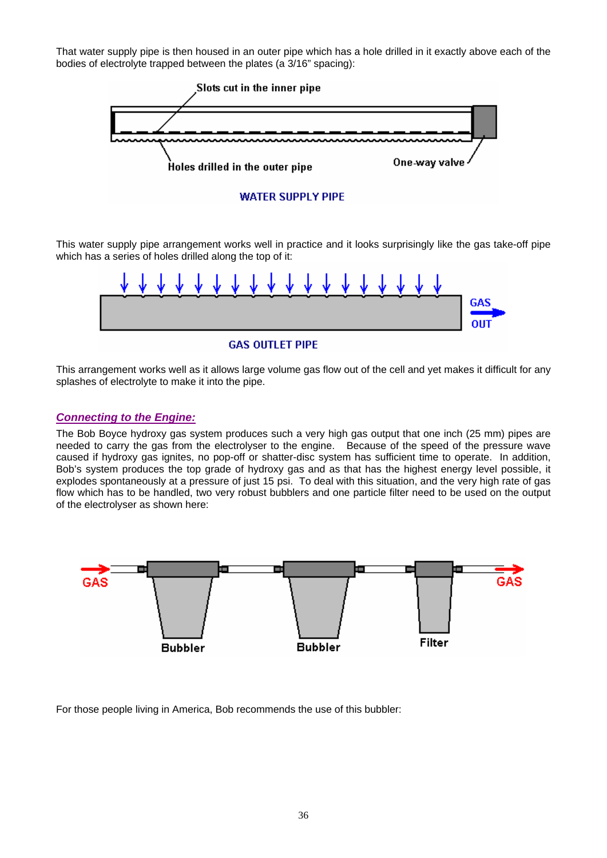That water supply pipe is then housed in an outer pipe which has a hole drilled in it exactly above each of the bodies of electrolyte trapped between the plates (a 3/16" spacing):





This water supply pipe arrangement works well in practice and it looks surprisingly like the gas take-off pipe which has a series of holes drilled along the top of it:





This arrangement works well as it allows large volume gas flow out of the cell and yet makes it difficult for any splashes of electrolyte to make it into the pipe.

# *Connecting to the Engine:*

The Bob Boyce hydroxy gas system produces such a very high gas output that one inch (25 mm) pipes are needed to carry the gas from the electrolyser to the engine. Because of the speed of the pressure wave caused if hydroxy gas ignites, no pop-off or shatter-disc system has sufficient time to operate. In addition, Bob's system produces the top grade of hydroxy gas and as that has the highest energy level possible, it explodes spontaneously at a pressure of just 15 psi. To deal with this situation, and the very high rate of gas flow which has to be handled, two very robust bubblers and one particle filter need to be used on the output of the electrolyser as shown here:



For those people living in America, Bob recommends the use of this bubbler: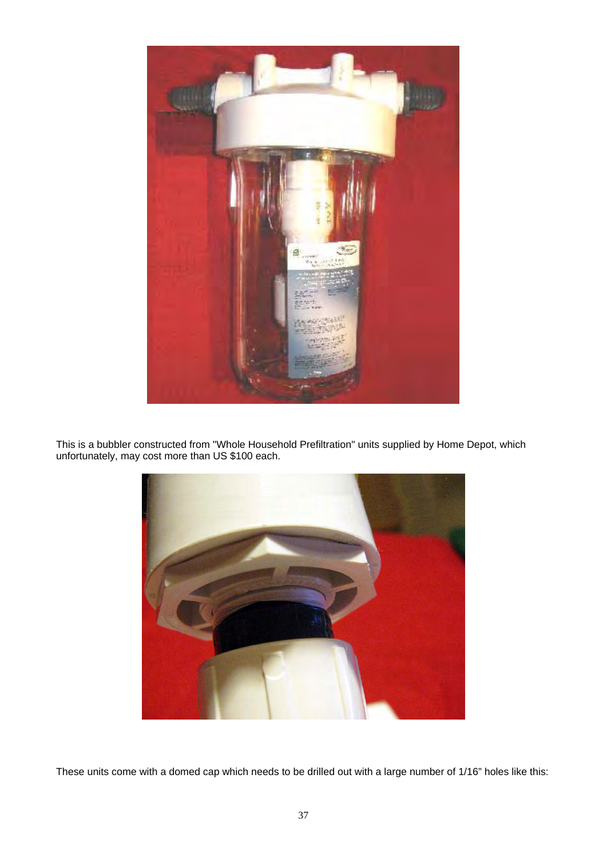

This is a bubbler constructed from "Whole Household Prefiltration" units supplied by Home Depot, which unfortunately, may cost more than US \$100 each.



These units come with a domed cap which needs to be drilled out with a large number of 1/16" holes like this: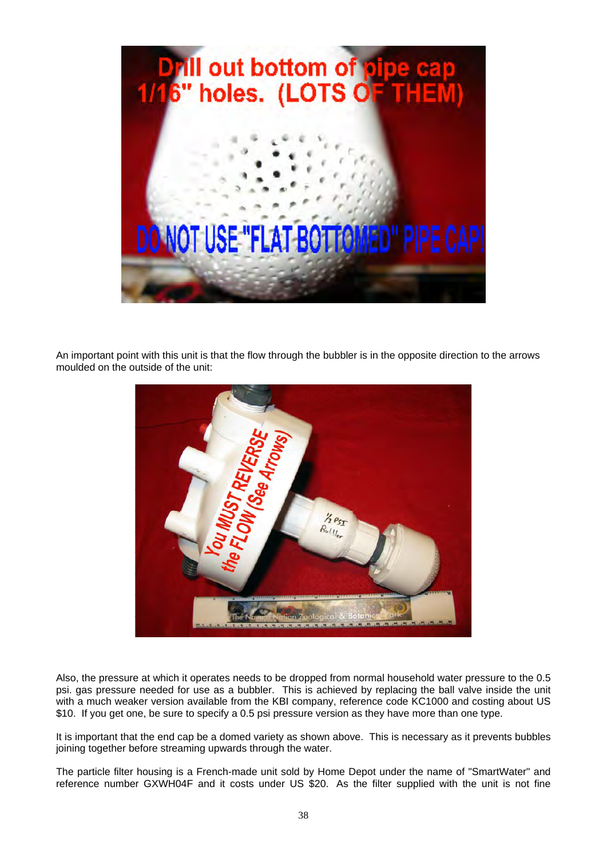

An important point with this unit is that the flow through the bubbler is in the opposite direction to the arrows moulded on the outside of the unit:



Also, the pressure at which it operates needs to be dropped from normal household water pressure to the 0.5 psi. gas pressure needed for use as a bubbler. This is achieved by replacing the ball valve inside the unit with a much weaker version available from the KBI company, reference code KC1000 and costing about US \$10. If you get one, be sure to specify a 0.5 psi pressure version as they have more than one type.

It is important that the end cap be a domed variety as shown above. This is necessary as it prevents bubbles joining together before streaming upwards through the water.

The particle filter housing is a French-made unit sold by Home Depot under the name of "SmartWater" and reference number GXWH04F and it costs under US \$20. As the filter supplied with the unit is not fine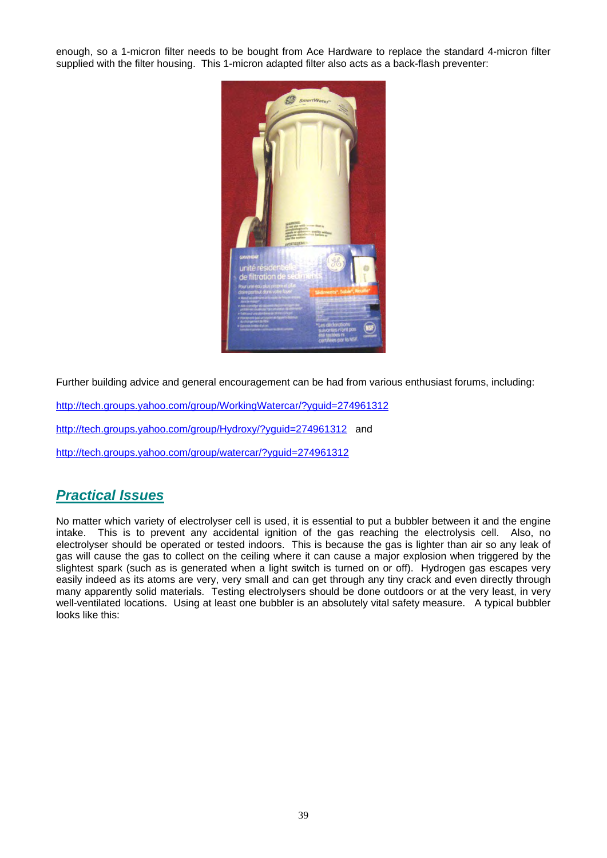enough, so a 1-micron filter needs to be bought from Ace Hardware to replace the standard 4-micron filter supplied with the filter housing. This 1-micron adapted filter also acts as a back-flash preventer:



Further building advice and general encouragement can be had from various enthusiast forums, including:

http://tech.groups.yahoo.com/group/WorkingWatercar/?yguid=274961312

http://tech.groups.yahoo.com/group/Hydroxy/?yguid=274961312 and

http://tech.groups.yahoo.com/group/watercar/?yguid=274961312

# *Practical Issues*

No matter which variety of electrolyser cell is used, it is essential to put a bubbler between it and the engine intake. This is to prevent any accidental ignition of the gas reaching the electrolysis cell. Also, no electrolyser should be operated or tested indoors. This is because the gas is lighter than air so any leak of gas will cause the gas to collect on the ceiling where it can cause a major explosion when triggered by the slightest spark (such as is generated when a light switch is turned on or off). Hydrogen gas escapes very easily indeed as its atoms are very, very small and can get through any tiny crack and even directly through many apparently solid materials. Testing electrolysers should be done outdoors or at the very least, in very well-ventilated locations. Using at least one bubbler is an absolutely vital safety measure. A typical bubbler looks like this: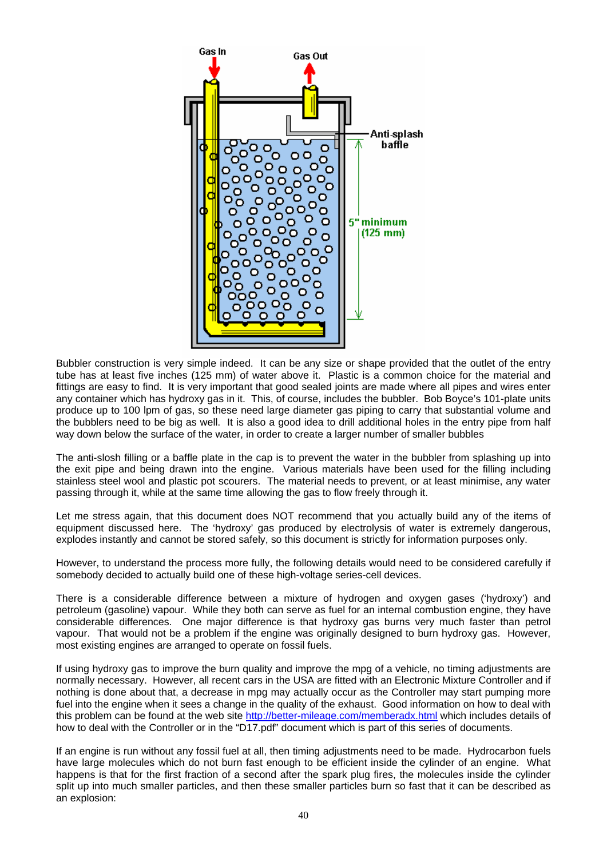

Bubbler construction is very simple indeed. It can be any size or shape provided that the outlet of the entry tube has at least five inches (125 mm) of water above it. Plastic is a common choice for the material and fittings are easy to find. It is very important that good sealed joints are made where all pipes and wires enter any container which has hydroxy gas in it. This, of course, includes the bubbler. Bob Boyce's 101-plate units produce up to 100 lpm of gas, so these need large diameter gas piping to carry that substantial volume and the bubblers need to be big as well. It is also a good idea to drill additional holes in the entry pipe from half way down below the surface of the water, in order to create a larger number of smaller bubbles

The anti-slosh filling or a baffle plate in the cap is to prevent the water in the bubbler from splashing up into the exit pipe and being drawn into the engine. Various materials have been used for the filling including stainless steel wool and plastic pot scourers. The material needs to prevent, or at least minimise, any water passing through it, while at the same time allowing the gas to flow freely through it.

Let me stress again, that this document does NOT recommend that you actually build any of the items of equipment discussed here. The 'hydroxy' gas produced by electrolysis of water is extremely dangerous, explodes instantly and cannot be stored safely, so this document is strictly for information purposes only.

However, to understand the process more fully, the following details would need to be considered carefully if somebody decided to actually build one of these high-voltage series-cell devices.

There is a considerable difference between a mixture of hydrogen and oxygen gases ('hydroxy') and petroleum (gasoline) vapour. While they both can serve as fuel for an internal combustion engine, they have considerable differences. One major difference is that hydroxy gas burns very much faster than petrol vapour. That would not be a problem if the engine was originally designed to burn hydroxy gas. However, most existing engines are arranged to operate on fossil fuels.

If using hydroxy gas to improve the burn quality and improve the mpg of a vehicle, no timing adjustments are normally necessary. However, all recent cars in the USA are fitted with an Electronic Mixture Controller and if nothing is done about that, a decrease in mpg may actually occur as the Controller may start pumping more fuel into the engine when it sees a change in the quality of the exhaust. Good information on how to deal with this problem can be found at the web site http://better-mileage.com/memberadx.html which includes details of how to deal with the Controller or in the "D17.pdf" document which is part of this series of documents.

If an engine is run without any fossil fuel at all, then timing adjustments need to be made. Hydrocarbon fuels have large molecules which do not burn fast enough to be efficient inside the cylinder of an engine. What happens is that for the first fraction of a second after the spark plug fires, the molecules inside the cylinder split up into much smaller particles, and then these smaller particles burn so fast that it can be described as an explosion: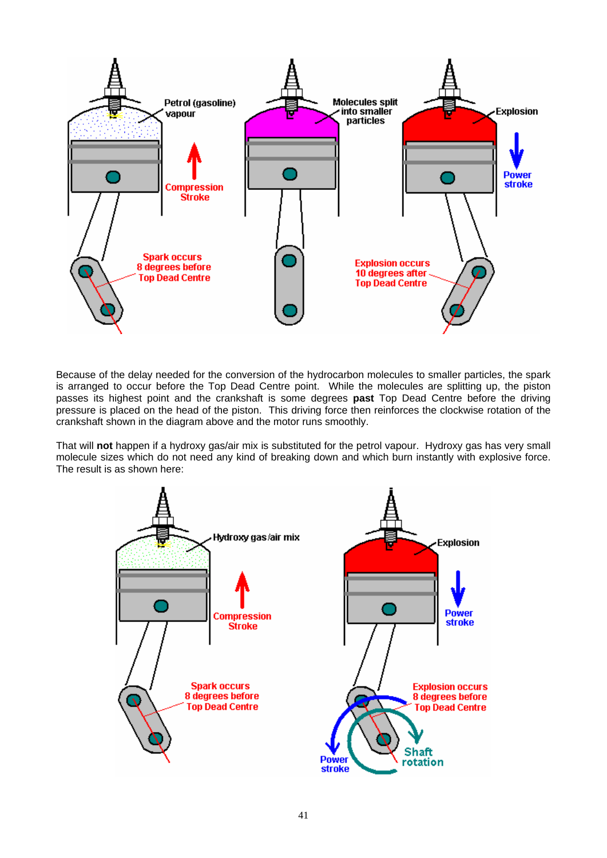

Because of the delay needed for the conversion of the hydrocarbon molecules to smaller particles, the spark is arranged to occur before the Top Dead Centre point. While the molecules are splitting up, the piston passes its highest point and the crankshaft is some degrees **past** Top Dead Centre before the driving pressure is placed on the head of the piston. This driving force then reinforces the clockwise rotation of the crankshaft shown in the diagram above and the motor runs smoothly.

That will **not** happen if a hydroxy gas/air mix is substituted for the petrol vapour. Hydroxy gas has very small molecule sizes which do not need any kind of breaking down and which burn instantly with explosive force. The result is as shown here:

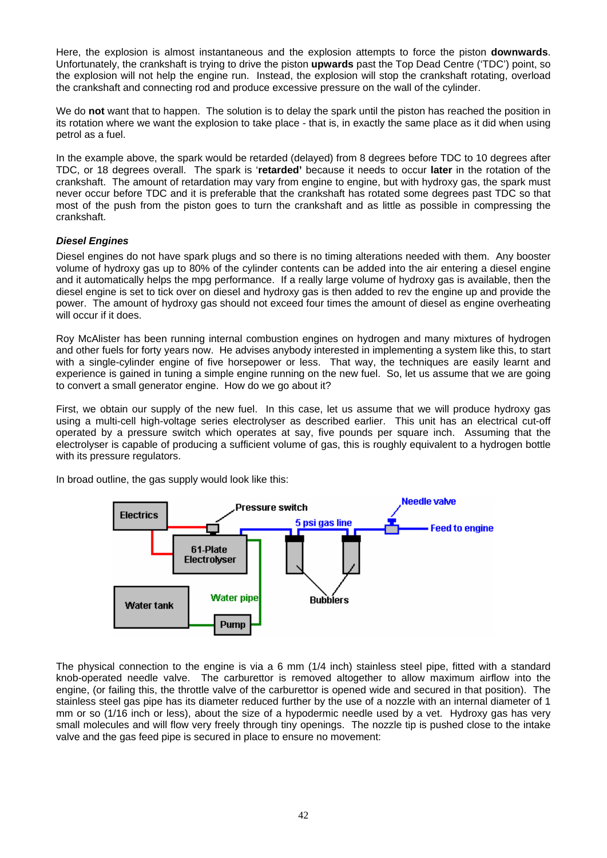Here, the explosion is almost instantaneous and the explosion attempts to force the piston **downwards**. Unfortunately, the crankshaft is trying to drive the piston **upwards** past the Top Dead Centre ('TDC') point, so the explosion will not help the engine run. Instead, the explosion will stop the crankshaft rotating, overload the crankshaft and connecting rod and produce excessive pressure on the wall of the cylinder.

We do **not** want that to happen. The solution is to delay the spark until the piston has reached the position in its rotation where we want the explosion to take place - that is, in exactly the same place as it did when using petrol as a fuel.

In the example above, the spark would be retarded (delayed) from 8 degrees before TDC to 10 degrees after TDC, or 18 degrees overall. The spark is '**retarded'** because it needs to occur **later** in the rotation of the crankshaft. The amount of retardation may vary from engine to engine, but with hydroxy gas, the spark must never occur before TDC and it is preferable that the crankshaft has rotated some degrees past TDC so that most of the push from the piston goes to turn the crankshaft and as little as possible in compressing the crankshaft.

# *Diesel Engines*

Diesel engines do not have spark plugs and so there is no timing alterations needed with them. Any booster volume of hydroxy gas up to 80% of the cylinder contents can be added into the air entering a diesel engine and it automatically helps the mpg performance. If a really large volume of hydroxy gas is available, then the diesel engine is set to tick over on diesel and hydroxy gas is then added to rev the engine up and provide the power. The amount of hydroxy gas should not exceed four times the amount of diesel as engine overheating will occur if it does.

Roy McAlister has been running internal combustion engines on hydrogen and many mixtures of hydrogen and other fuels for forty years now. He advises anybody interested in implementing a system like this, to start with a single-cylinder engine of five horsepower or less. That way, the techniques are easily learnt and experience is gained in tuning a simple engine running on the new fuel. So, let us assume that we are going to convert a small generator engine. How do we go about it?

First, we obtain our supply of the new fuel. In this case, let us assume that we will produce hydroxy gas using a multi-cell high-voltage series electrolyser as described earlier. This unit has an electrical cut-off operated by a pressure switch which operates at say, five pounds per square inch. Assuming that the electrolyser is capable of producing a sufficient volume of gas, this is roughly equivalent to a hydrogen bottle with its pressure regulators.

In broad outline, the gas supply would look like this:



The physical connection to the engine is via a 6 mm (1/4 inch) stainless steel pipe, fitted with a standard knob-operated needle valve. The carburettor is removed altogether to allow maximum airflow into the engine, (or failing this, the throttle valve of the carburettor is opened wide and secured in that position). The stainless steel gas pipe has its diameter reduced further by the use of a nozzle with an internal diameter of 1 mm or so (1/16 inch or less), about the size of a hypodermic needle used by a vet. Hydroxy gas has very small molecules and will flow very freely through tiny openings. The nozzle tip is pushed close to the intake valve and the gas feed pipe is secured in place to ensure no movement: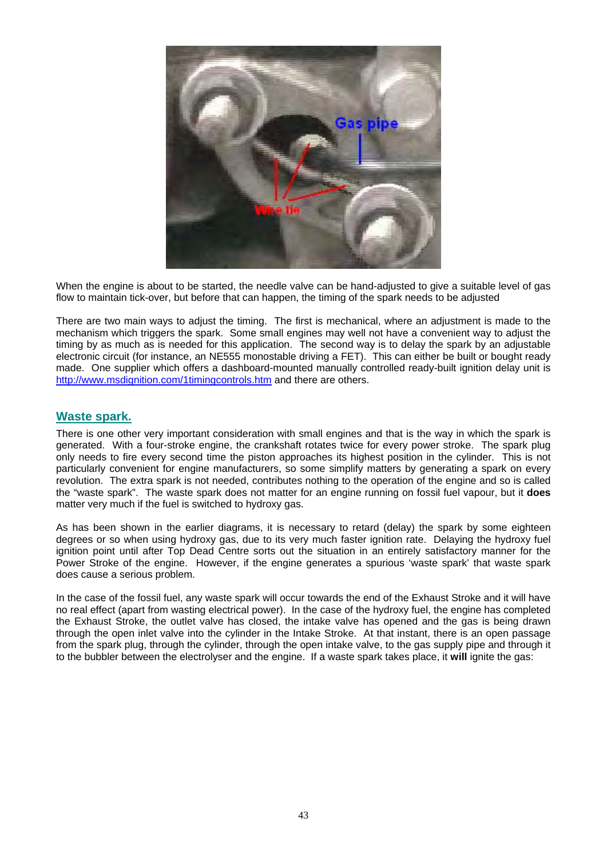

When the engine is about to be started, the needle valve can be hand-adjusted to give a suitable level of gas flow to maintain tick-over, but before that can happen, the timing of the spark needs to be adjusted

There are two main ways to adjust the timing. The first is mechanical, where an adjustment is made to the mechanism which triggers the spark. Some small engines may well not have a convenient way to adjust the timing by as much as is needed for this application. The second way is to delay the spark by an adjustable electronic circuit (for instance, an NE555 monostable driving a FET). This can either be built or bought ready made. One supplier which offers a dashboard-mounted manually controlled ready-built ignition delay unit is http://www.msdignition.com/1timingcontrols.htm and there are others.

# **Waste spark.**

There is one other very important consideration with small engines and that is the way in which the spark is generated. With a four-stroke engine, the crankshaft rotates twice for every power stroke. The spark plug only needs to fire every second time the piston approaches its highest position in the cylinder. This is not particularly convenient for engine manufacturers, so some simplify matters by generating a spark on every revolution. The extra spark is not needed, contributes nothing to the operation of the engine and so is called the "waste spark". The waste spark does not matter for an engine running on fossil fuel vapour, but it **does** matter very much if the fuel is switched to hydroxy gas.

As has been shown in the earlier diagrams, it is necessary to retard (delay) the spark by some eighteen degrees or so when using hydroxy gas, due to its very much faster ignition rate. Delaying the hydroxy fuel ignition point until after Top Dead Centre sorts out the situation in an entirely satisfactory manner for the Power Stroke of the engine. However, if the engine generates a spurious 'waste spark' that waste spark does cause a serious problem.

In the case of the fossil fuel, any waste spark will occur towards the end of the Exhaust Stroke and it will have no real effect (apart from wasting electrical power). In the case of the hydroxy fuel, the engine has completed the Exhaust Stroke, the outlet valve has closed, the intake valve has opened and the gas is being drawn through the open inlet valve into the cylinder in the Intake Stroke. At that instant, there is an open passage from the spark plug, through the cylinder, through the open intake valve, to the gas supply pipe and through it to the bubbler between the electrolyser and the engine. If a waste spark takes place, it **will** ignite the gas: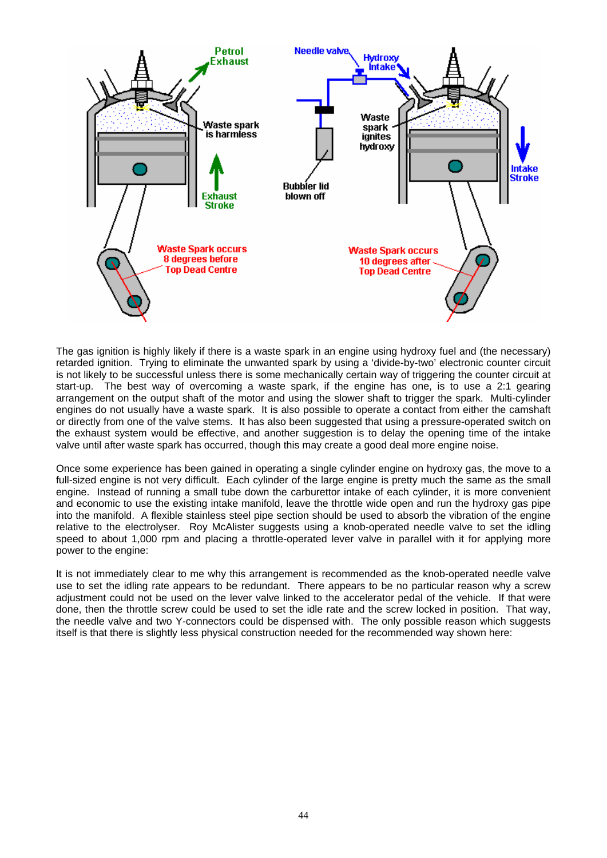

The gas ignition is highly likely if there is a waste spark in an engine using hydroxy fuel and (the necessary) retarded ignition. Trying to eliminate the unwanted spark by using a 'divide-by-two' electronic counter circuit is not likely to be successful unless there is some mechanically certain way of triggering the counter circuit at start-up. The best way of overcoming a waste spark, if the engine has one, is to use a 2:1 gearing arrangement on the output shaft of the motor and using the slower shaft to trigger the spark. Multi-cylinder engines do not usually have a waste spark. It is also possible to operate a contact from either the camshaft or directly from one of the valve stems. It has also been suggested that using a pressure-operated switch on the exhaust system would be effective, and another suggestion is to delay the opening time of the intake valve until after waste spark has occurred, though this may create a good deal more engine noise.

Once some experience has been gained in operating a single cylinder engine on hydroxy gas, the move to a full-sized engine is not very difficult. Each cylinder of the large engine is pretty much the same as the small engine. Instead of running a small tube down the carburettor intake of each cylinder, it is more convenient and economic to use the existing intake manifold, leave the throttle wide open and run the hydroxy gas pipe into the manifold. A flexible stainless steel pipe section should be used to absorb the vibration of the engine relative to the electrolyser. Roy McAlister suggests using a knob-operated needle valve to set the idling speed to about 1,000 rpm and placing a throttle-operated lever valve in parallel with it for applying more power to the engine:

It is not immediately clear to me why this arrangement is recommended as the knob-operated needle valve use to set the idling rate appears to be redundant. There appears to be no particular reason why a screw adjustment could not be used on the lever valve linked to the accelerator pedal of the vehicle. If that were done, then the throttle screw could be used to set the idle rate and the screw locked in position. That way, the needle valve and two Y-connectors could be dispensed with. The only possible reason which suggests itself is that there is slightly less physical construction needed for the recommended way shown here: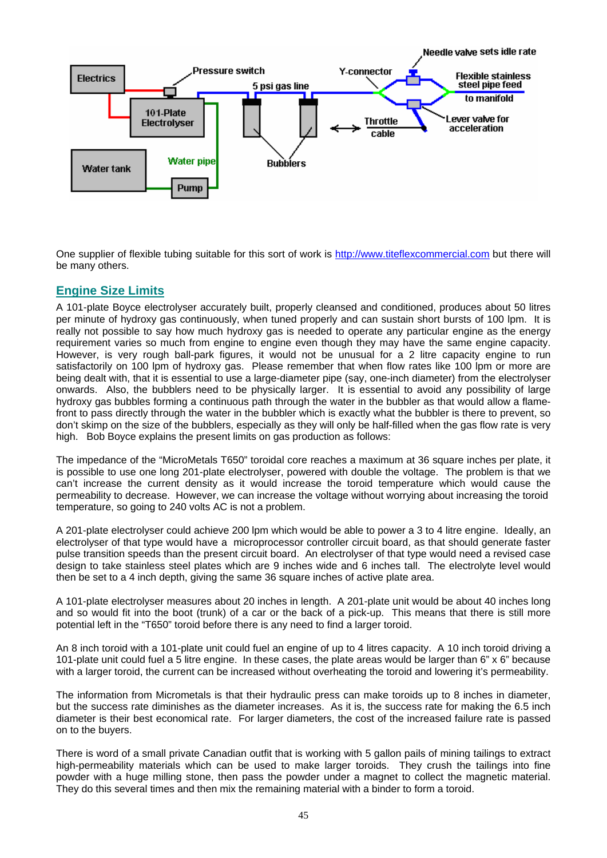

One supplier of flexible tubing suitable for this sort of work is http://www.titeflexcommercial.com but there will be many others.

# **Engine Size Limits**

A 101-plate Boyce electrolyser accurately built, properly cleansed and conditioned, produces about 50 litres per minute of hydroxy gas continuously, when tuned properly and can sustain short bursts of 100 lpm. It is really not possible to say how much hydroxy gas is needed to operate any particular engine as the energy requirement varies so much from engine to engine even though they may have the same engine capacity. However, is very rough ball-park figures, it would not be unusual for a 2 litre capacity engine to run satisfactorily on 100 lpm of hydroxy gas. Please remember that when flow rates like 100 lpm or more are being dealt with, that it is essential to use a large-diameter pipe (say, one-inch diameter) from the electrolyser onwards. Also, the bubblers need to be physically larger. It is essential to avoid any possibility of large hydroxy gas bubbles forming a continuous path through the water in the bubbler as that would allow a flamefront to pass directly through the water in the bubbler which is exactly what the bubbler is there to prevent, so don't skimp on the size of the bubblers, especially as they will only be half-filled when the gas flow rate is very high. Bob Boyce explains the present limits on gas production as follows:

The impedance of the "MicroMetals T650" toroidal core reaches a maximum at 36 square inches per plate, it is possible to use one long 201-plate electrolyser, powered with double the voltage. The problem is that we can't increase the current density as it would increase the toroid temperature which would cause the permeability to decrease. However, we can increase the voltage without worrying about increasing the toroid temperature, so going to 240 volts AC is not a problem.

A 201-plate electrolyser could achieve 200 lpm which would be able to power a 3 to 4 litre engine. Ideally, an electrolyser of that type would have a microprocessor controller circuit board, as that should generate faster pulse transition speeds than the present circuit board. An electrolyser of that type would need a revised case design to take stainless steel plates which are 9 inches wide and 6 inches tall. The electrolyte level would then be set to a 4 inch depth, giving the same 36 square inches of active plate area.

A 101-plate electrolyser measures about 20 inches in length. A 201-plate unit would be about 40 inches long and so would fit into the boot (trunk) of a car or the back of a pick-up. This means that there is still more potential left in the "T650" toroid before there is any need to find a larger toroid.

An 8 inch toroid with a 101-plate unit could fuel an engine of up to 4 litres capacity. A 10 inch toroid driving a 101-plate unit could fuel a 5 litre engine. In these cases, the plate areas would be larger than 6" x 6" because with a larger toroid, the current can be increased without overheating the toroid and lowering it's permeability.

The information from Micrometals is that their hydraulic press can make toroids up to 8 inches in diameter, but the success rate diminishes as the diameter increases. As it is, the success rate for making the 6.5 inch diameter is their best economical rate. For larger diameters, the cost of the increased failure rate is passed on to the buyers.

There is word of a small private Canadian outfit that is working with 5 gallon pails of mining tailings to extract high-permeability materials which can be used to make larger toroids. They crush the tailings into fine powder with a huge milling stone, then pass the powder under a magnet to collect the magnetic material. They do this several times and then mix the remaining material with a binder to form a toroid.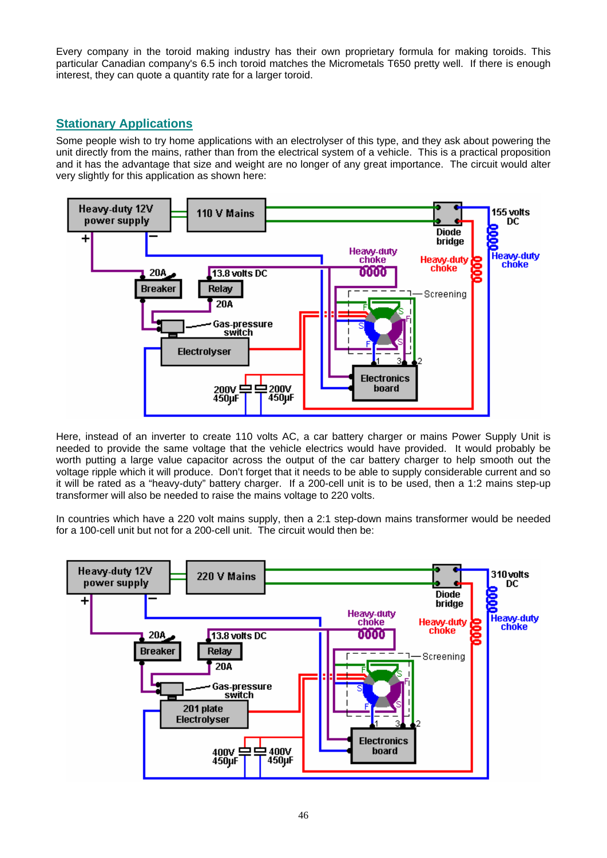Every company in the toroid making industry has their own proprietary formula for making toroids. This particular Canadian company's 6.5 inch toroid matches the Micrometals T650 pretty well. If there is enough interest, they can quote a quantity rate for a larger toroid.

# **Stationary Applications**

Some people wish to try home applications with an electrolyser of this type, and they ask about powering the unit directly from the mains, rather than from the electrical system of a vehicle. This is a practical proposition and it has the advantage that size and weight are no longer of any great importance. The circuit would alter very slightly for this application as shown here:



Here, instead of an inverter to create 110 volts AC, a car battery charger or mains Power Supply Unit is needed to provide the same voltage that the vehicle electrics would have provided. It would probably be worth putting a large value capacitor across the output of the car battery charger to help smooth out the voltage ripple which it will produce. Don't forget that it needs to be able to supply considerable current and so it will be rated as a "heavy-duty" battery charger. If a 200-cell unit is to be used, then a 1:2 mains step-up transformer will also be needed to raise the mains voltage to 220 volts.

In countries which have a 220 volt mains supply, then a 2:1 step-down mains transformer would be needed for a 100-cell unit but not for a 200-cell unit. The circuit would then be:

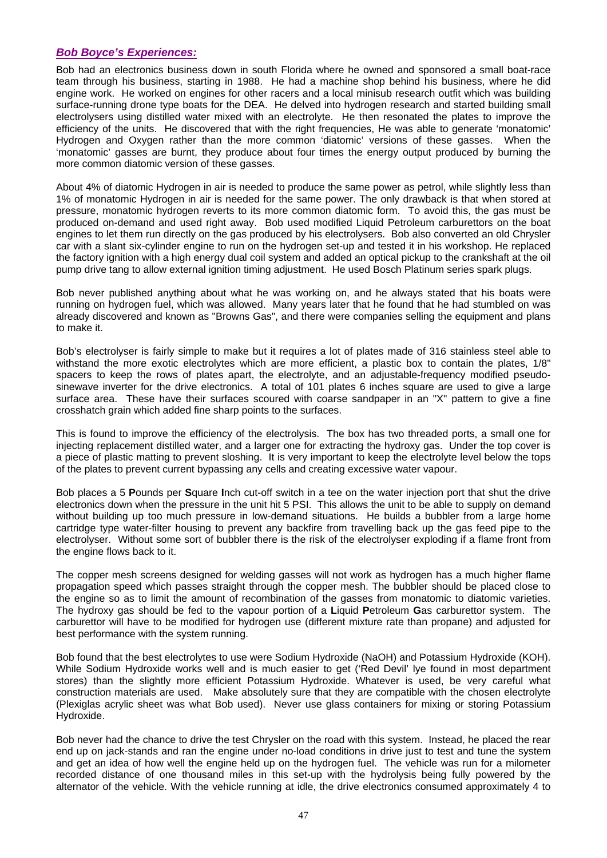# *Bob Boyce's Experiences:*

Bob had an electronics business down in south Florida where he owned and sponsored a small boat-race team through his business, starting in 1988. He had a machine shop behind his business, where he did engine work. He worked on engines for other racers and a local minisub research outfit which was building surface-running drone type boats for the DEA. He delved into hydrogen research and started building small electrolysers using distilled water mixed with an electrolyte. He then resonated the plates to improve the efficiency of the units. He discovered that with the right frequencies, He was able to generate 'monatomic' Hydrogen and Oxygen rather than the more common 'diatomic' versions of these gasses. When the 'monatomic' gasses are burnt, they produce about four times the energy output produced by burning the more common diatomic version of these gasses.

About 4% of diatomic Hydrogen in air is needed to produce the same power as petrol, while slightly less than 1% of monatomic Hydrogen in air is needed for the same power. The only drawback is that when stored at pressure, monatomic hydrogen reverts to its more common diatomic form. To avoid this, the gas must be produced on-demand and used right away. Bob used modified Liquid Petroleum carburettors on the boat engines to let them run directly on the gas produced by his electrolysers. Bob also converted an old Chrysler car with a slant six-cylinder engine to run on the hydrogen set-up and tested it in his workshop. He replaced the factory ignition with a high energy dual coil system and added an optical pickup to the crankshaft at the oil pump drive tang to allow external ignition timing adjustment. He used Bosch Platinum series spark plugs.

Bob never published anything about what he was working on, and he always stated that his boats were running on hydrogen fuel, which was allowed. Many years later that he found that he had stumbled on was already discovered and known as "Browns Gas", and there were companies selling the equipment and plans to make it.

Bob's electrolyser is fairly simple to make but it requires a lot of plates made of 316 stainless steel able to withstand the more exotic electrolytes which are more efficient, a plastic box to contain the plates, 1/8" spacers to keep the rows of plates apart, the electrolyte, and an adjustable-frequency modified pseudosinewave inverter for the drive electronics. A total of 101 plates 6 inches square are used to give a large surface area. These have their surfaces scoured with coarse sandpaper in an "X" pattern to give a fine crosshatch grain which added fine sharp points to the surfaces.

This is found to improve the efficiency of the electrolysis. The box has two threaded ports, a small one for injecting replacement distilled water, and a larger one for extracting the hydroxy gas. Under the top cover is a piece of plastic matting to prevent sloshing. It is very important to keep the electrolyte level below the tops of the plates to prevent current bypassing any cells and creating excessive water vapour.

Bob places a 5 **P**ounds per **S**quare **I**nch cut-off switch in a tee on the water injection port that shut the drive electronics down when the pressure in the unit hit 5 PSI. This allows the unit to be able to supply on demand without building up too much pressure in low-demand situations. He builds a bubbler from a large home cartridge type water-filter housing to prevent any backfire from travelling back up the gas feed pipe to the electrolyser. Without some sort of bubbler there is the risk of the electrolyser exploding if a flame front from the engine flows back to it.

The copper mesh screens designed for welding gasses will not work as hydrogen has a much higher flame propagation speed which passes straight through the copper mesh. The bubbler should be placed close to the engine so as to limit the amount of recombination of the gasses from monatomic to diatomic varieties. The hydroxy gas should be fed to the vapour portion of a **L**iquid **P**etroleum **G**as carburettor system. The carburettor will have to be modified for hydrogen use (different mixture rate than propane) and adjusted for best performance with the system running.

Bob found that the best electrolytes to use were Sodium Hydroxide (NaOH) and Potassium Hydroxide (KOH). While Sodium Hydroxide works well and is much easier to get ('Red Devil' lye found in most department stores) than the slightly more efficient Potassium Hydroxide. Whatever is used, be very careful what construction materials are used. Make absolutely sure that they are compatible with the chosen electrolyte (Plexiglas acrylic sheet was what Bob used). Never use glass containers for mixing or storing Potassium Hydroxide.

Bob never had the chance to drive the test Chrysler on the road with this system. Instead, he placed the rear end up on jack-stands and ran the engine under no-load conditions in drive just to test and tune the system and get an idea of how well the engine held up on the hydrogen fuel. The vehicle was run for a milometer recorded distance of one thousand miles in this set-up with the hydrolysis being fully powered by the alternator of the vehicle. With the vehicle running at idle, the drive electronics consumed approximately 4 to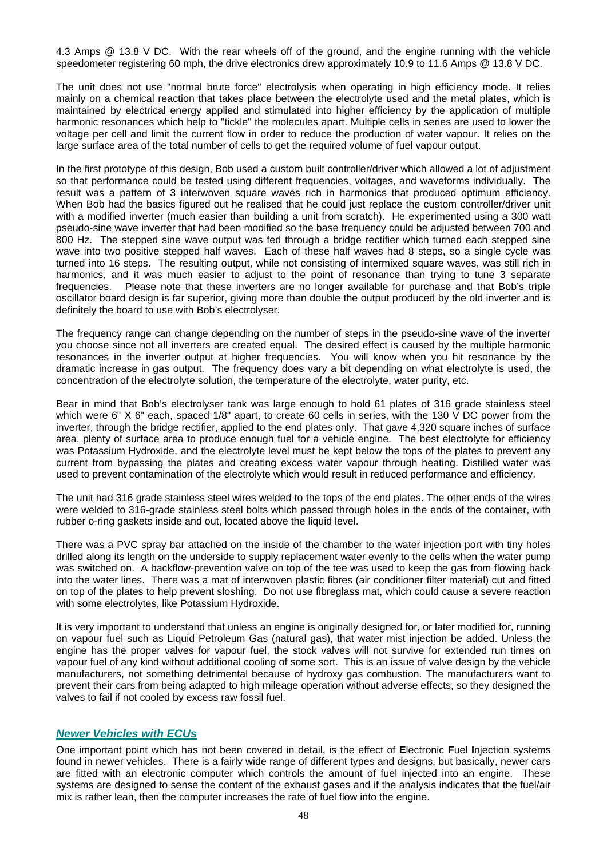4.3 Amps @ 13.8 V DC. With the rear wheels off of the ground, and the engine running with the vehicle speedometer registering 60 mph, the drive electronics drew approximately 10.9 to 11.6 Amps @ 13.8 V DC.

The unit does not use "normal brute force" electrolysis when operating in high efficiency mode. It relies mainly on a chemical reaction that takes place between the electrolyte used and the metal plates, which is maintained by electrical energy applied and stimulated into higher efficiency by the application of multiple harmonic resonances which help to "tickle" the molecules apart. Multiple cells in series are used to lower the voltage per cell and limit the current flow in order to reduce the production of water vapour. It relies on the large surface area of the total number of cells to get the required volume of fuel vapour output.

In the first prototype of this design, Bob used a custom built controller/driver which allowed a lot of adjustment so that performance could be tested using different frequencies, voltages, and waveforms individually. The result was a pattern of 3 interwoven square waves rich in harmonics that produced optimum efficiency. When Bob had the basics figured out he realised that he could just replace the custom controller/driver unit with a modified inverter (much easier than building a unit from scratch). He experimented using a 300 watt pseudo-sine wave inverter that had been modified so the base frequency could be adjusted between 700 and 800 Hz. The stepped sine wave output was fed through a bridge rectifier which turned each stepped sine wave into two positive stepped half waves. Each of these half waves had 8 steps, so a single cycle was turned into 16 steps. The resulting output, while not consisting of intermixed square waves, was still rich in harmonics, and it was much easier to adjust to the point of resonance than trying to tune 3 separate frequencies. Please note that these inverters are no longer available for purchase and that Bob's triple oscillator board design is far superior, giving more than double the output produced by the old inverter and is definitely the board to use with Bob's electrolyser.

The frequency range can change depending on the number of steps in the pseudo-sine wave of the inverter you choose since not all inverters are created equal. The desired effect is caused by the multiple harmonic resonances in the inverter output at higher frequencies. You will know when you hit resonance by the dramatic increase in gas output. The frequency does vary a bit depending on what electrolyte is used, the concentration of the electrolyte solution, the temperature of the electrolyte, water purity, etc.

Bear in mind that Bob's electrolyser tank was large enough to hold 61 plates of 316 grade stainless steel which were 6" X 6" each, spaced 1/8" apart, to create 60 cells in series, with the 130 V DC power from the inverter, through the bridge rectifier, applied to the end plates only. That gave 4,320 square inches of surface area, plenty of surface area to produce enough fuel for a vehicle engine. The best electrolyte for efficiency was Potassium Hydroxide, and the electrolyte level must be kept below the tops of the plates to prevent any current from bypassing the plates and creating excess water vapour through heating. Distilled water was used to prevent contamination of the electrolyte which would result in reduced performance and efficiency.

The unit had 316 grade stainless steel wires welded to the tops of the end plates. The other ends of the wires were welded to 316-grade stainless steel bolts which passed through holes in the ends of the container, with rubber o-ring gaskets inside and out, located above the liquid level.

There was a PVC spray bar attached on the inside of the chamber to the water injection port with tiny holes drilled along its length on the underside to supply replacement water evenly to the cells when the water pump was switched on. A backflow-prevention valve on top of the tee was used to keep the gas from flowing back into the water lines. There was a mat of interwoven plastic fibres (air conditioner filter material) cut and fitted on top of the plates to help prevent sloshing. Do not use fibreglass mat, which could cause a severe reaction with some electrolytes, like Potassium Hydroxide.

It is very important to understand that unless an engine is originally designed for, or later modified for, running on vapour fuel such as Liquid Petroleum Gas (natural gas), that water mist injection be added. Unless the engine has the proper valves for vapour fuel, the stock valves will not survive for extended run times on vapour fuel of any kind without additional cooling of some sort. This is an issue of valve design by the vehicle manufacturers, not something detrimental because of hydroxy gas combustion. The manufacturers want to prevent their cars from being adapted to high mileage operation without adverse effects, so they designed the valves to fail if not cooled by excess raw fossil fuel.

# *Newer Vehicles with ECUs*

One important point which has not been covered in detail, is the effect of **E**lectronic **F**uel **I**njection systems found in newer vehicles. There is a fairly wide range of different types and designs, but basically, newer cars are fitted with an electronic computer which controls the amount of fuel injected into an engine. These systems are designed to sense the content of the exhaust gases and if the analysis indicates that the fuel/air mix is rather lean, then the computer increases the rate of fuel flow into the engine.